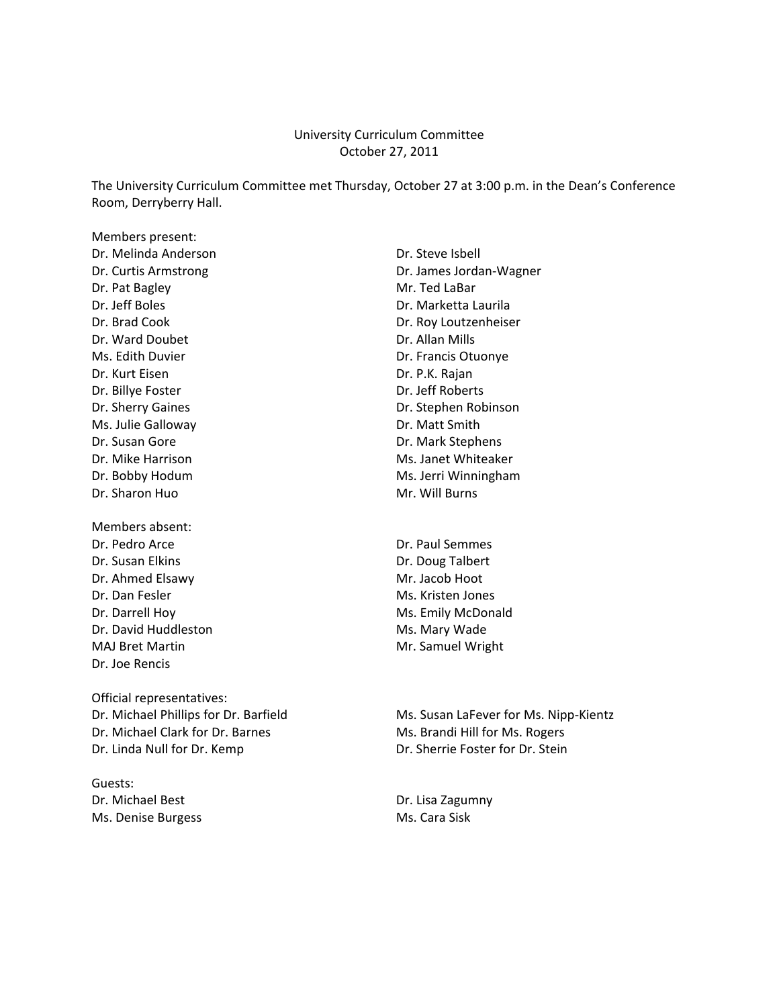#### University Curriculum Committee October 27, 2011

The University Curriculum Committee met Thursday, October 27 at 3:00 p.m. in the Dean's Conference Room, Derryberry Hall.

Members present: Dr. Melinda Anderson Dr. Steve Isbell Dr. Pat Bagley **Mr. Ted LaBar** Dr. Jeff Boles Dr. Marketta Laurila Dr. Ward Doubet **Dr. Allan Mills** Ms. Edith Duvier **Dr. Francis Otuonye** Dr. Kurt Eisen Dr. P.K. Rajan Dr. Billye Foster **Dr. Jeff Roberts** Ms. Julie Galloway **Dr. Matt Smith** Dr. Susan Gore **Dr. Mark Stephens** Dr. Mike Harrison Ms. Janet Whiteaker Dr. Sharon Huo Mr. Will Burns

Members absent: Dr. Pedro Arce Dr. Paul Semmes Dr. Susan Elkins **Dr. Doug Talbert** Dr. Ahmed Elsawy Mr. Jacob Hoot Dr. Dan Fesler Mus. Kristen Jones Dr. Darrell Hoy Mr. Emily McDonald Dr. David Huddleston Ms. Mary Wade MAJ Bret Martin Mattin Mr. Samuel Wright Dr. Joe Rencis

Official representatives: Dr. Michael Clark for Dr. Barnes Ms. Brandi Hill for Ms. Rogers

Guests: Dr. Michael Best **Dr. Lisa Zagumny** Ms. Denise Burgess Ms. Cara Sisk

Dr. Curtis Armstrong Dr. James Jordan-Wagner Dr. Brad Cook Dr. Roy Loutzenheiser Dr. Sherry Gaines **Dr. Stephen Robinson** Dr. Bobby Hodum Ms. Jerri Winningham

Dr. Michael Phillips for Dr. Barfield Ms. Susan LaFever for Ms. Nipp-Kientz Dr. Linda Null for Dr. Kemp Dr. Sherrie Foster for Dr. Stein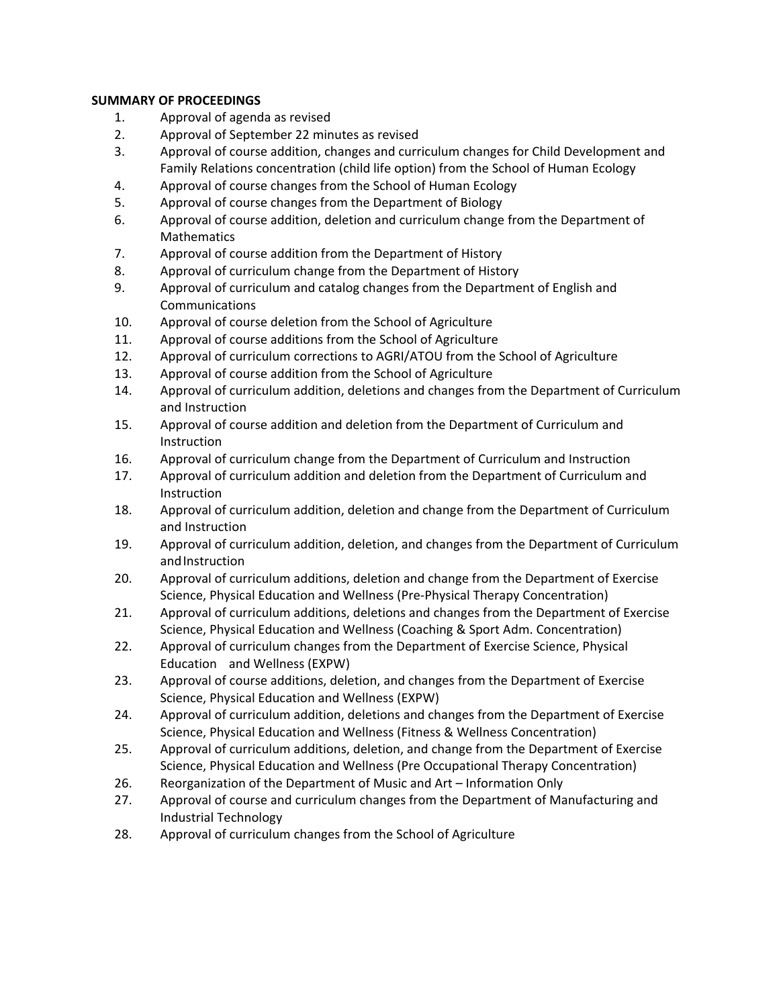# **SUMMARY OF PROCEEDINGS**

- 1. Approval of agenda as revised
- 2. Approval of September 22 minutes as revised
- 3. Approval of course addition, changes and curriculum changes for Child Development and Family Relations concentration (child life option) from the School of Human Ecology
- 4. Approval of course changes from the School of Human Ecology
- 5. Approval of course changes from the Department of Biology
- 6. Approval of course addition, deletion and curriculum change from the Department of Mathematics
- 7. Approval of course addition from the Department of History
- 8. Approval of curriculum change from the Department of History
- 9. Approval of curriculum and catalog changes from the Department of English and Communications
- 10. Approval of course deletion from the School of Agriculture
- 11. Approval of course additions from the School of Agriculture
- 12. Approval of curriculum corrections to AGRI/ATOU from the School of Agriculture
- 13. Approval of course addition from the School of Agriculture
- 14. Approval of curriculum addition, deletions and changes from the Department of Curriculum and Instruction
- 15. Approval of course addition and deletion from the Department of Curriculum and Instruction
- 16. Approval of curriculum change from the Department of Curriculum and Instruction
- 17. Approval of curriculum addition and deletion from the Department of Curriculum and Instruction
- 18. Approval of curriculum addition, deletion and change from the Department of Curriculum and Instruction
- 19. Approval of curriculum addition, deletion, and changes from the Department of Curriculum and Instruction
- 20. Approval of curriculum additions, deletion and change from the Department of Exercise Science, Physical Education and Wellness (Pre‐Physical Therapy Concentration)
- 21. Approval of curriculum additions, deletions and changes from the Department of Exercise Science, Physical Education and Wellness (Coaching & Sport Adm. Concentration)
- 22. Approval of curriculum changes from the Department of Exercise Science, Physical Education and Wellness (EXPW)
- 23. Approval of course additions, deletion, and changes from the Department of Exercise Science, Physical Education and Wellness (EXPW)
- 24. Approval of curriculum addition, deletions and changes from the Department of Exercise Science, Physical Education and Wellness (Fitness & Wellness Concentration)
- 25. Approval of curriculum additions, deletion, and change from the Department of Exercise Science, Physical Education and Wellness (Pre Occupational Therapy Concentration)
- 26. Reorganization of the Department of Music and Art Information Only
- 27. Approval of course and curriculum changes from the Department of Manufacturing and Industrial Technology
- 28. Approval of curriculum changes from the School of Agriculture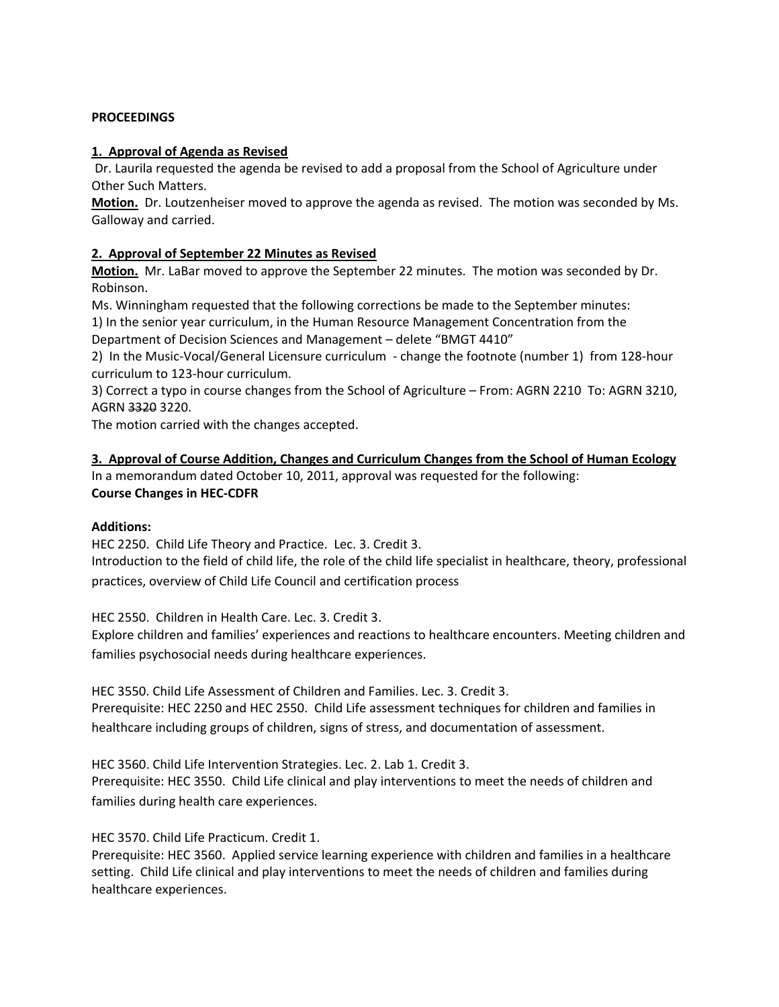#### **PROCEEDINGS**

#### **1. Approval of Agenda as Revised**

Dr. Laurila requested the agenda be revised to add a proposal from the School of Agriculture under Other Such Matters.

**Motion.** Dr. Loutzenheiser moved to approve the agenda as revised. The motion was seconded by Ms. Galloway and carried.

# **2. Approval of September 22 Minutes as Revised**

**Motion.** Mr. LaBar moved to approve the September 22 minutes. The motion was seconded by Dr. Robinson.

Ms. Winningham requested that the following corrections be made to the September minutes:

1) In the senior year curriculum, in the Human Resource Management Concentration from the Department of Decision Sciences and Management – delete "BMGT 4410"

2) In the Music-Vocal/General Licensure curriculum - change the footnote (number 1) from 128-hour curriculum to 123‐hour curriculum.

3) Correct a typo in course changes from the School of Agriculture – From: AGRN 2210 To: AGRN 3210, AGRN 3320 3220.

The motion carried with the changes accepted.

**3. Approval of Course Addition, Changes and Curriculum Changes from the School of Human Ecology** In a memorandum dated October 10, 2011, approval was requested for the following: **Course Changes in HEC‐CDFR**

# **Additions:**

HEC 2250. Child Life Theory and Practice. Lec. 3. Credit 3.

Introduction to the field of child life, the role of the child life specialist in healthcare, theory, professional practices, overview of Child Life Council and certification process

HEC 2550. Children in Health Care. Lec. 3. Credit 3.

Explore children and families' experiences and reactions to healthcare encounters. Meeting children and families psychosocial needs during healthcare experiences.

HEC 3550. Child Life Assessment of Children and Families. Lec. 3. Credit 3. Prerequisite: HEC 2250 and HEC 2550. Child Life assessment techniques for children and families in healthcare including groups of children, signs of stress, and documentation of assessment.

HEC 3560. Child Life Intervention Strategies. Lec. 2. Lab 1. Credit 3. Prerequisite: HEC 3550. Child Life clinical and play interventions to meet the needs of children and families during health care experiences.

HEC 3570. Child Life Practicum. Credit 1.

Prerequisite: HEC 3560. Applied service learning experience with children and families in a healthcare setting. Child Life clinical and play interventions to meet the needs of children and families during healthcare experiences.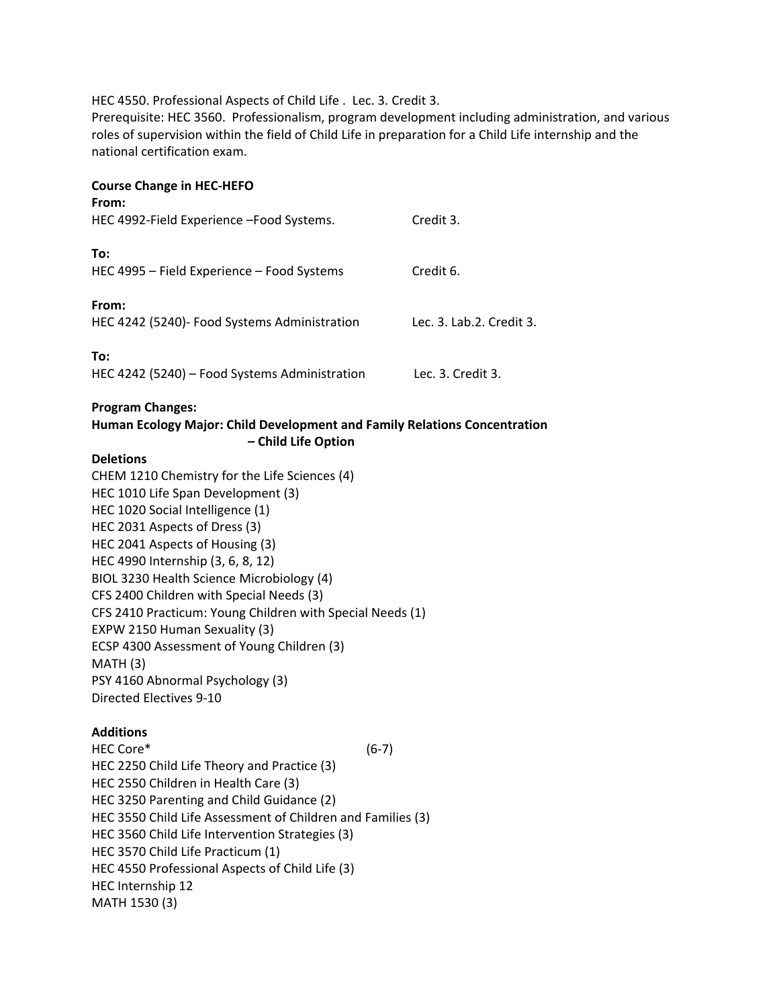HEC 4550. Professional Aspects of Child Life . Lec. 3. Credit 3.

Prerequisite: HEC 3560. Professionalism, program development including administration, and various roles of supervision within the field of Child Life in preparation for a Child Life internship and the national certification exam.

# **Course Change in HEC‐HEFO**

| From:<br>HEC 4992-Field Experience - Food Systems.    | Credit 3.                 |
|-------------------------------------------------------|---------------------------|
| To:<br>HEC 4995 - Field Experience - Food Systems     | Credit 6.                 |
| From:<br>HEC 4242 (5240)- Food Systems Administration | Lec. 3. Lab. 2. Credit 3. |
| To:<br>HEC 4242 (5240) - Food Systems Administration  | Lec. 3. Credit 3.         |

#### **Program Changes:**

#### **Human Ecology Major: Child Development and Family Relations Concentration – Child Life Option**

#### **Deletions**

CHEM 1210 Chemistry for the Life Sciences (4) HEC 1010 Life Span Development (3) HEC 1020 Social Intelligence (1) HEC 2031 Aspects of Dress (3) HEC 2041 Aspects of Housing (3) HEC 4990 Internship (3, 6, 8, 12) BIOL 3230 Health Science Microbiology (4) CFS 2400 Children with Special Needs (3) CFS 2410 Practicum: Young Children with Special Needs (1) EXPW 2150 Human Sexuality (3) ECSP 4300 Assessment of Young Children (3) MATH (3) PSY 4160 Abnormal Psychology (3) Directed Electives 9‐10

#### **Additions**

HEC Core\* (6‐7) HEC 2250 Child Life Theory and Practice (3) HEC 2550 Children in Health Care (3) HEC 3250 Parenting and Child Guidance (2) HEC 3550 Child Life Assessment of Children and Families (3) HEC 3560 Child Life Intervention Strategies (3) HEC 3570 Child Life Practicum (1) HEC 4550 Professional Aspects of Child Life (3) HEC Internship 12 MATH 1530 (3)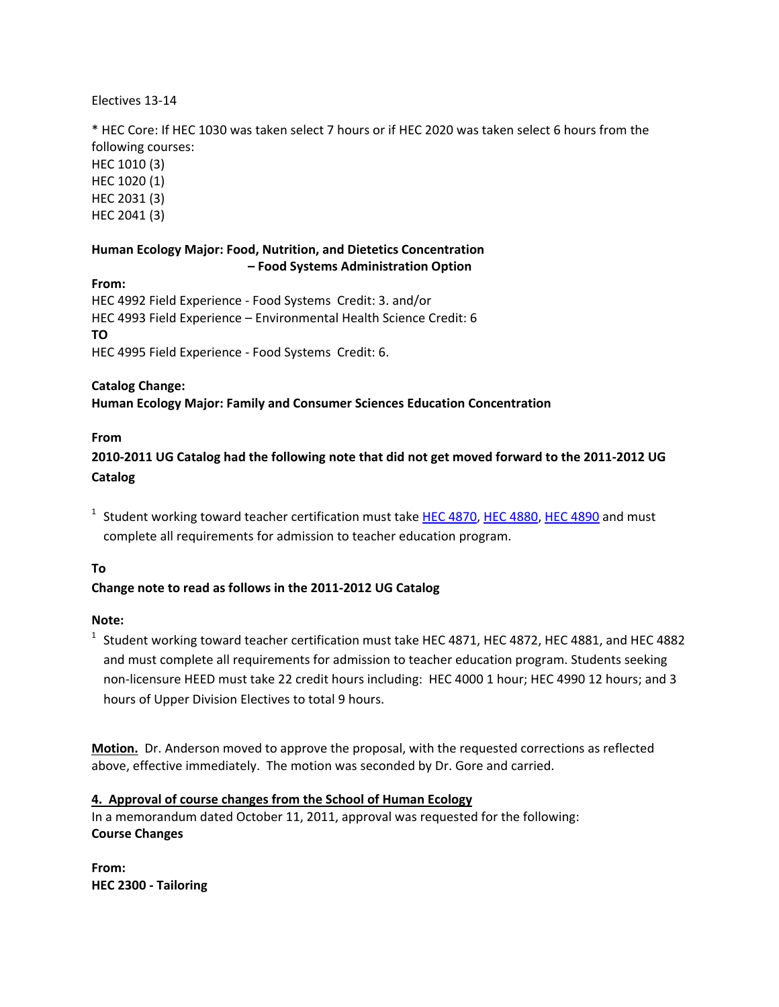# Electives 13‐14

\* HEC Core: If HEC 1030 was taken select 7 hours or if HEC 2020 was taken select 6 hours from the following courses:

HEC 1010 (3) HEC 1020 (1) HEC 2031 (3) HEC 2041 (3)

# **Human Ecology Major: Food, Nutrition, and Dietetics Concentration – Food Systems Administration Option**

**From:** HEC 4992 Field Experience ‐ Food Systems Credit: 3. and/or HEC 4993 Field Experience – Environmental Health Science Credit: 6 **TO** HEC 4995 Field Experience ‐ Food Systems Credit: 6.

#### **Catalog Change:**

**Human Ecology Major: Family and Consumer Sciences Education Concentration**

#### **From**

2010-2011 UG Catalog had the following note that did not get moved forward to the 2011-2012 UG **Catalog**

 $1$  Student working toward teacher certification must take HEC 4870, HEC 4880, HEC 4890 and must complete all requirements for admission to teacher education program.

# **To**

# **Change note to read as follows in the 2011‐2012 UG Catalog**

#### **Note:**

<sup>1</sup> Student working toward teacher certification must take HEC 4871, HEC 4872, HEC 4881, and HEC 4882 and must complete all requirements for admission to teacher education program. Students seeking non‐licensure HEED must take 22 credit hours including: HEC 4000 1 hour; HEC 4990 12 hours; and 3 hours of Upper Division Electives to total 9 hours.

**Motion.** Dr. Anderson moved to approve the proposal, with the requested corrections as reflected above, effective immediately. The motion was seconded by Dr. Gore and carried.

#### **4. Approval of course changes from the School of Human Ecology**

In a memorandum dated October 11, 2011, approval was requested for the following: **Course Changes**

**From: HEC 2300 ‐ Tailoring**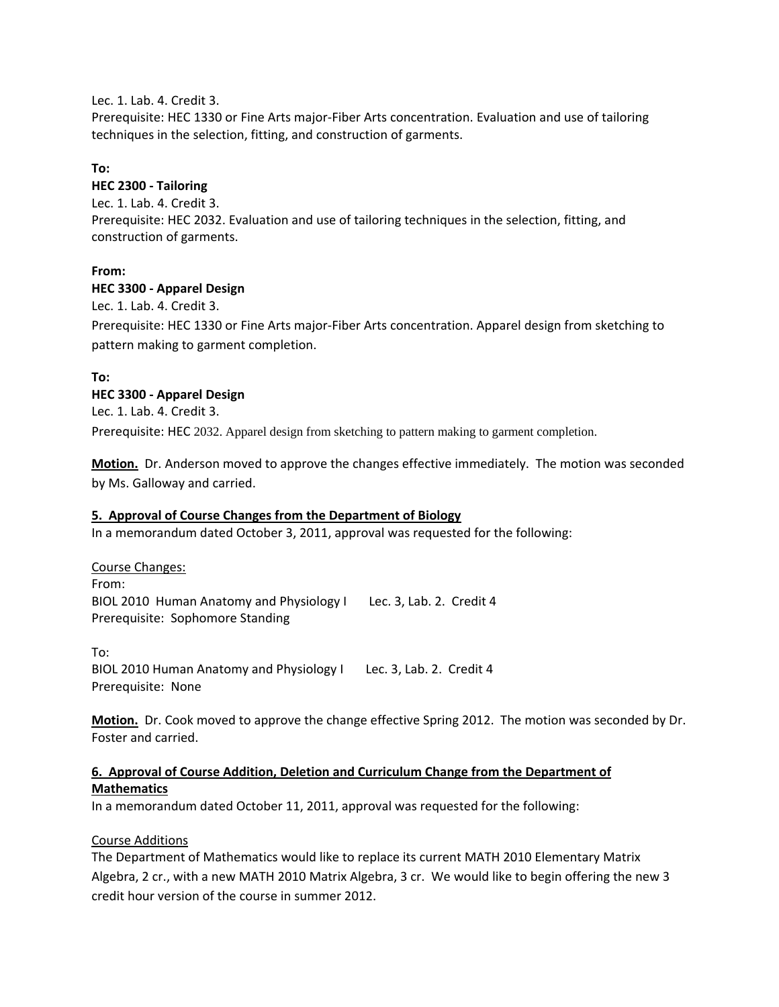Lec. 1. Lab. 4. Credit 3.

Prerequisite: HEC 1330 or Fine Arts major‐Fiber Arts concentration. Evaluation and use of tailoring techniques in the selection, fitting, and construction of garments.

# **To:**

# **HEC 2300 ‐ Tailoring**

Lec. 1. Lab. 4. Credit 3. Prerequisite: HEC 2032. Evaluation and use of tailoring techniques in the selection, fitting, and construction of garments.

# **From:**

#### **HEC 3300 ‐ Apparel Design**

Lec. 1. Lab. 4. Credit 3.

Prerequisite: HEC 1330 or Fine Arts major‐Fiber Arts concentration. Apparel design from sketching to pattern making to garment completion.

# **To:**

# **HEC 3300 ‐ Apparel Design**

Lec. 1. Lab. 4. Credit 3.

Prerequisite: HEC 2032. Apparel design from sketching to pattern making to garment completion.

**Motion.** Dr. Anderson moved to approve the changes effective immediately. The motion was seconded by Ms. Galloway and carried.

#### **5. Approval of Course Changes from the Department of Biology**

In a memorandum dated October 3, 2011, approval was requested for the following:

Course Changes: From: BIOL 2010 Human Anatomy and Physiology I Lec. 3, Lab. 2. Credit 4 Prerequisite: Sophomore Standing

To: BIOL 2010 Human Anatomy and Physiology I Lec. 3, Lab. 2. Credit 4 Prerequisite: None

**Motion.** Dr. Cook moved to approve the change effective Spring 2012. The motion was seconded by Dr. Foster and carried.

# **6. Approval of Course Addition, Deletion and Curriculum Change from the Department of Mathematics**

In a memorandum dated October 11, 2011, approval was requested for the following:

# Course Additions

The Department of Mathematics would like to replace its current MATH 2010 Elementary Matrix Algebra, 2 cr., with a new MATH 2010 Matrix Algebra, 3 cr. We would like to begin offering the new 3 credit hour version of the course in summer 2012.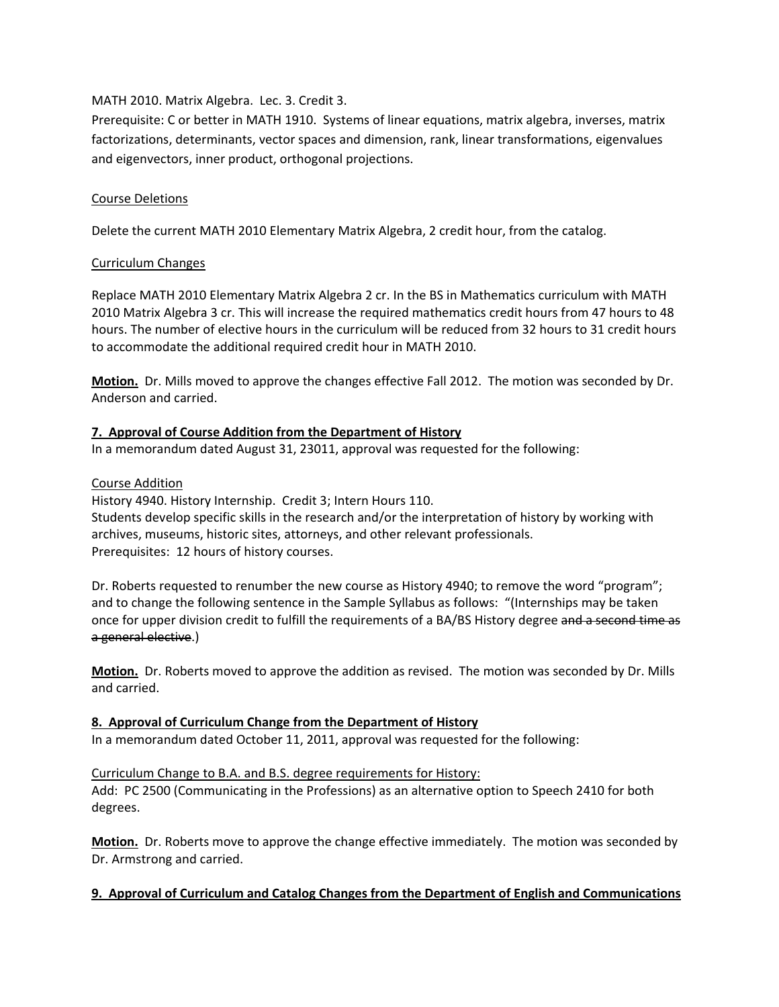# MATH 2010. Matrix Algebra. Lec. 3. Credit 3.

Prerequisite: C or better in MATH 1910. Systems of linear equations, matrix algebra, inverses, matrix factorizations, determinants, vector spaces and dimension, rank, linear transformations, eigenvalues and eigenvectors, inner product, orthogonal projections.

# Course Deletions

Delete the current MATH 2010 Elementary Matrix Algebra, 2 credit hour, from the catalog.

# Curriculum Changes

Replace MATH 2010 Elementary Matrix Algebra 2 cr. In the BS in Mathematics curriculum with MATH 2010 Matrix Algebra 3 cr. This will increase the required mathematics credit hours from 47 hours to 48 hours. The number of elective hours in the curriculum will be reduced from 32 hours to 31 credit hours to accommodate the additional required credit hour in MATH 2010.

**Motion.** Dr. Mills moved to approve the changes effective Fall 2012. The motion was seconded by Dr. Anderson and carried.

# **7. Approval of Course Addition from the Department of History**

In a memorandum dated August 31, 23011, approval was requested for the following:

# Course Addition

History 4940. History Internship. Credit 3; Intern Hours 110. Students develop specific skills in the research and/or the interpretation of history by working with archives, museums, historic sites, attorneys, and other relevant professionals. Prerequisites: 12 hours of history courses.

Dr. Roberts requested to renumber the new course as History 4940; to remove the word "program"; and to change the following sentence in the Sample Syllabus as follows: "(Internships may be taken once for upper division credit to fulfill the requirements of a BA/BS History degree and a second time as a general elective.)

**Motion.** Dr. Roberts moved to approve the addition as revised. The motion was seconded by Dr. Mills and carried.

# **8. Approval of Curriculum Change from the Department of History**

In a memorandum dated October 11, 2011, approval was requested for the following:

# Curriculum Change to B.A. and B.S. degree requirements for History: Add: PC 2500 (Communicating in the Professions) as an alternative option to Speech 2410 for both degrees.

**Motion.** Dr. Roberts move to approve the change effective immediately. The motion was seconded by Dr. Armstrong and carried.

# **9. Approval of Curriculum and Catalog Changes from the Department of English and Communications**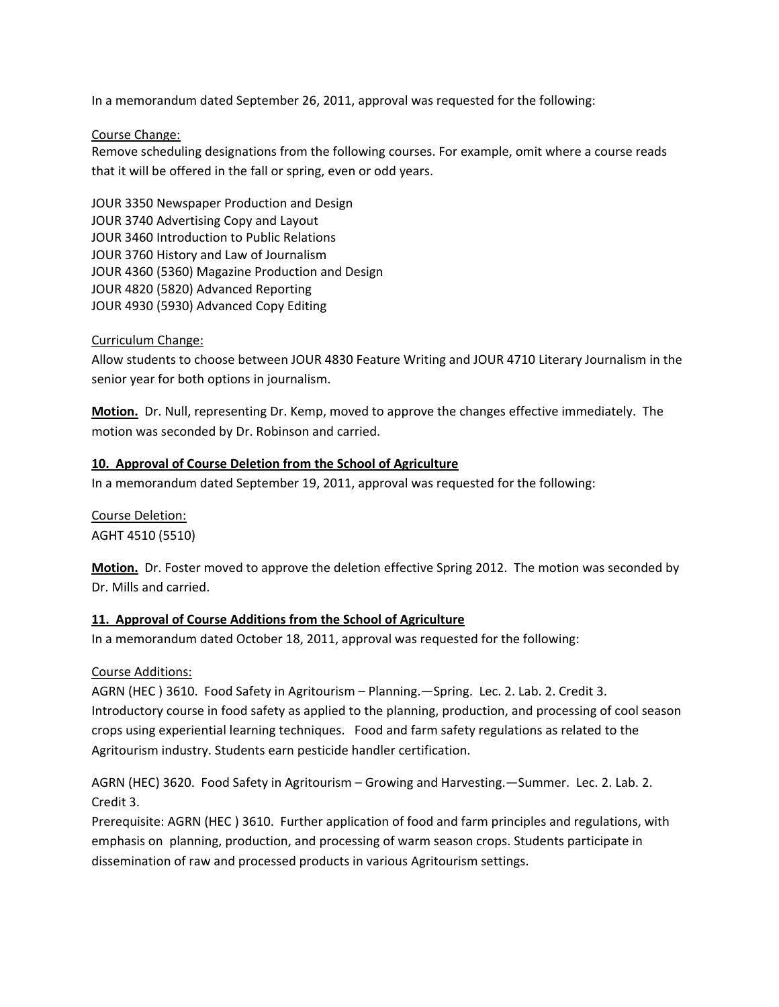In a memorandum dated September 26, 2011, approval was requested for the following:

#### Course Change:

Remove scheduling designations from the following courses. For example, omit where a course reads that it will be offered in the fall or spring, even or odd years.

JOUR 3350 Newspaper Production and Design JOUR 3740 Advertising Copy and Layout JOUR 3460 Introduction to Public Relations JOUR 3760 History and Law of Journalism JOUR 4360 (5360) Magazine Production and Design JOUR 4820 (5820) Advanced Reporting JOUR 4930 (5930) Advanced Copy Editing

# Curriculum Change:

Allow students to choose between JOUR 4830 Feature Writing and JOUR 4710 Literary Journalism in the senior year for both options in journalism.

**Motion.** Dr. Null, representing Dr. Kemp, moved to approve the changes effective immediately. The motion was seconded by Dr. Robinson and carried.

#### **10. Approval of Course Deletion from the School of Agriculture**

In a memorandum dated September 19, 2011, approval was requested for the following:

Course Deletion: AGHT 4510 (5510)

**Motion.** Dr. Foster moved to approve the deletion effective Spring 2012. The motion was seconded by Dr. Mills and carried.

# **11. Approval of Course Additions from the School of Agriculture**

In a memorandum dated October 18, 2011, approval was requested for the following:

# Course Additions:

AGRN (HEC ) 3610. Food Safety in Agritourism – Planning.—Spring. Lec. 2. Lab. 2. Credit 3. Introductory course in food safety as applied to the planning, production, and processing of cool season crops using experiential learning techniques. Food and farm safety regulations as related to the Agritourism industry. Students earn pesticide handler certification.

AGRN (HEC) 3620. Food Safety in Agritourism – Growing and Harvesting.—Summer. Lec. 2. Lab. 2. Credit 3.

Prerequisite: AGRN (HEC ) 3610. Further application of food and farm principles and regulations, with emphasis on planning, production, and processing of warm season crops. Students participate in dissemination of raw and processed products in various Agritourism settings.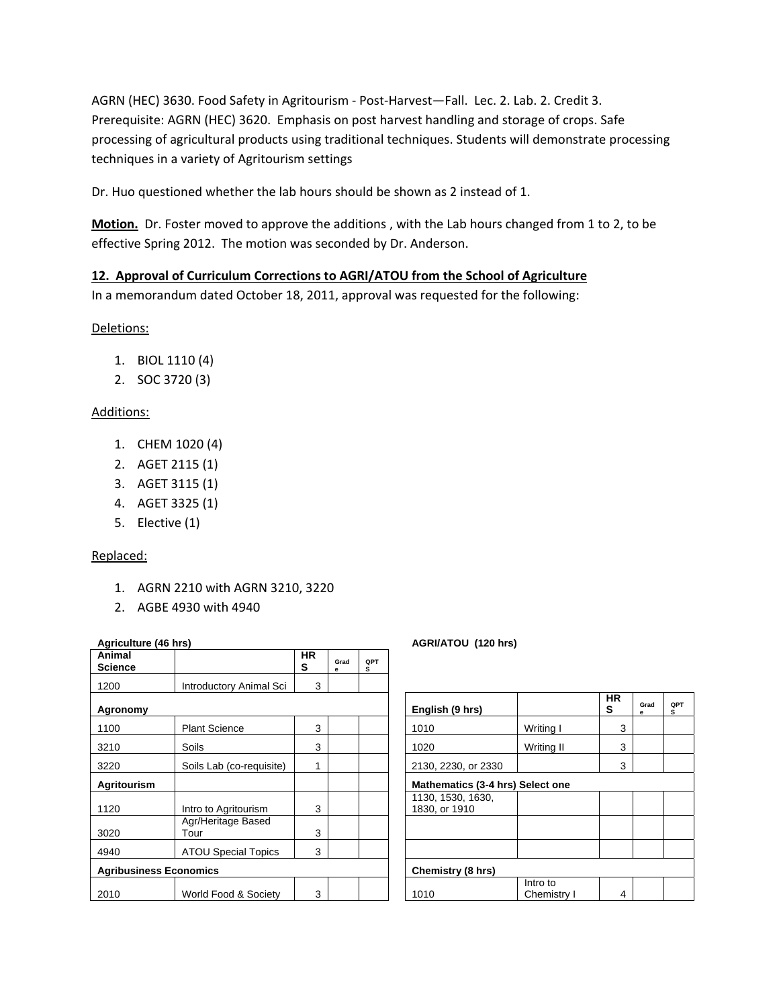AGRN (HEC) 3630. Food Safety in Agritourism ‐ Post‐Harvest—Fall. Lec. 2. Lab. 2. Credit 3. Prerequisite: AGRN (HEC) 3620. Emphasis on post harvest handling and storage of crops. Safe processing of agricultural products using traditional techniques. Students will demonstrate processing techniques in a variety of Agritourism settings

Dr. Huo questioned whether the lab hours should be shown as 2 instead of 1.

**Motion.** Dr. Foster moved to approve the additions , with the Lab hours changed from 1 to 2, to be effective Spring 2012. The motion was seconded by Dr. Anderson.

# **12. Approval of Curriculum Corrections to AGRI/ATOU from the School of Agriculture**

In a memorandum dated October 18, 2011, approval was requested for the following:

Deletions:

- 1. BIOL 1110 (4)
- 2. SOC 3720 (3)

# Additions:

- 1. CHEM 1020 (4)
- 2. AGET 2115 (1)
- 3. AGET 3115 (1)
- 4. AGET 3325 (1)
- 5. Elective (1)

# Replaced:

- 1. AGRN 2210 with AGRN 3210, 3220
- 2. AGBE 4930 with 4940

| Agriculture (46 hrs)          |                            |                |           |          | AGRI/ATOU (120 hrs)                |                         |                |
|-------------------------------|----------------------------|----------------|-----------|----------|------------------------------------|-------------------------|----------------|
| Animal<br><b>Science</b>      |                            | <b>HR</b><br>s | Grad<br>e | QPT<br>s |                                    |                         |                |
| 1200                          | Introductory Animal Sci    | 3              |           |          |                                    |                         |                |
| Agronomy                      |                            |                |           |          | English (9 hrs)                    |                         | <b>HR</b><br>s |
| 1100                          | <b>Plant Science</b>       | 3              |           |          | 1010                               | Writing I               | 3              |
| 3210                          | Soils                      | 3              |           |          | 1020                               | Writing II              | 3              |
| 3220                          | Soils Lab (co-requisite)   | 1              |           |          | 2130, 2230, or 2330                |                         | 3              |
| <b>Agritourism</b>            |                            |                |           |          | Mathematics (3-4 hrs) Select one   |                         |                |
| 1120                          | Intro to Agritourism       | 3              |           |          | 1130, 1530, 1630,<br>1830, or 1910 |                         |                |
| 3020                          | Agr/Heritage Based<br>Tour | 3              |           |          |                                    |                         |                |
| 4940                          | <b>ATOU Special Topics</b> | 3              |           |          |                                    |                         |                |
| <b>Agribusiness Economics</b> |                            |                |           |          | Chemistry (8 hrs)                  |                         |                |
| 2010                          | World Food & Society       | 3              |           |          | 1010                               | Intro to<br>Chemistry I | 4              |

| English (9 hrs)                    |                         | HR<br>s | Grad<br>е | QPT<br>s |  |  |
|------------------------------------|-------------------------|---------|-----------|----------|--|--|
| 1010                               | Writing I               | 3       |           |          |  |  |
| 1020                               | Writing II              | 3       |           |          |  |  |
| 2130, 2230, or 2330                |                         | 3       |           |          |  |  |
| Mathematics (3-4 hrs) Select one   |                         |         |           |          |  |  |
| 1130, 1530, 1630,<br>1830, or 1910 |                         |         |           |          |  |  |
|                                    |                         |         |           |          |  |  |
|                                    |                         |         |           |          |  |  |
| Chemistry (8 hrs)                  |                         |         |           |          |  |  |
| 1010                               | Intro to<br>Chemistry I | 4       |           |          |  |  |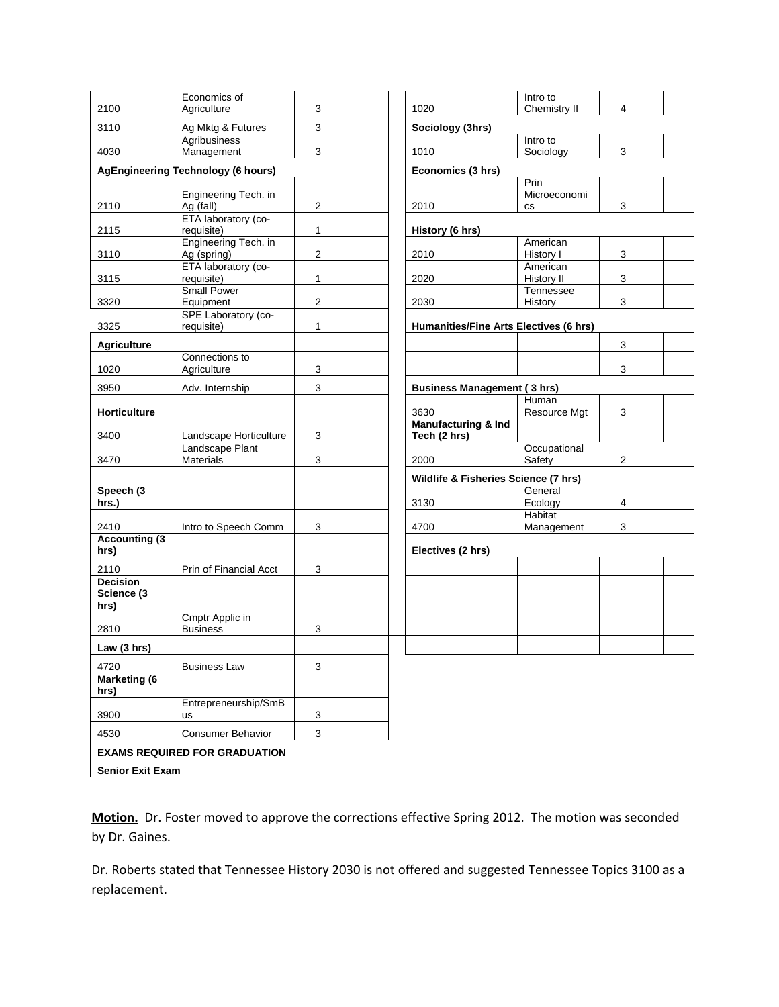**EXAMS REQUIRED FOR GRADUATION Senior Exit Exam** 

Motion. Dr. Foster moved to approve the corrections effective Spring 2012. The motion was seconded by Dr. Gaines.

Dr. Roberts stated that Tennessee History 2030 is not offered and suggested Tennessee Topics 3100 as a replacement.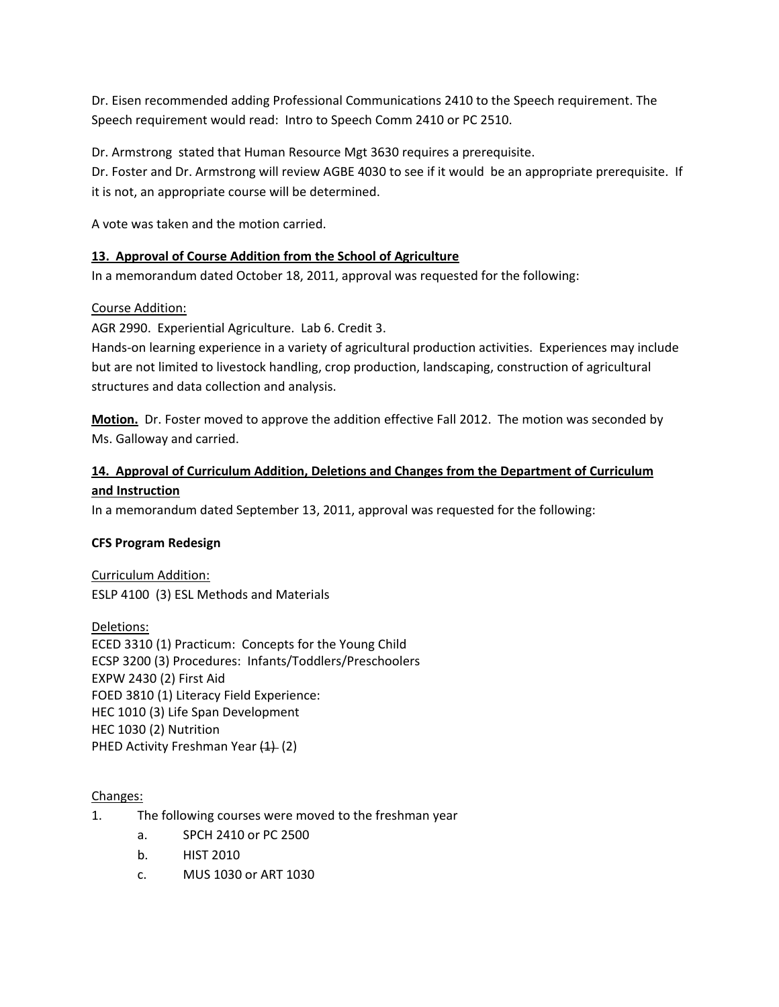Dr. Eisen recommended adding Professional Communications 2410 to the Speech requirement. The Speech requirement would read: Intro to Speech Comm 2410 or PC 2510.

Dr. Armstrong stated that Human Resource Mgt 3630 requires a prerequisite.

Dr. Foster and Dr. Armstrong will review AGBE 4030 to see if it would be an appropriate prerequisite. If it is not, an appropriate course will be determined.

A vote was taken and the motion carried.

# **13. Approval of Course Addition from the School of Agriculture**

In a memorandum dated October 18, 2011, approval was requested for the following:

# Course Addition:

AGR 2990. Experiential Agriculture. Lab 6. Credit 3.

Hands‐on learning experience in a variety of agricultural production activities. Experiences may include but are not limited to livestock handling, crop production, landscaping, construction of agricultural structures and data collection and analysis.

**Motion.** Dr. Foster moved to approve the addition effective Fall 2012. The motion was seconded by Ms. Galloway and carried.

# **14. Approval of Curriculum Addition, Deletions and Changes from the Department of Curriculum and Instruction**

In a memorandum dated September 13, 2011, approval was requested for the following:

# **CFS Program Redesign**

Curriculum Addition: ESLP 4100 (3) ESL Methods and Materials

Deletions: ECED 3310 (1) Practicum: Concepts for the Young Child ECSP 3200 (3) Procedures: Infants/Toddlers/Preschoolers EXPW 2430 (2) First Aid FOED 3810 (1) Literacy Field Experience: HEC 1010 (3) Life Span Development HEC 1030 (2) Nutrition PHED Activity Freshman Year (1) (2)

# Changes:

- 1. The following courses were moved to the freshman year
	- a. SPCH 2410 or PC 2500
	- b. HIST 2010
	- c. MUS 1030 or ART 1030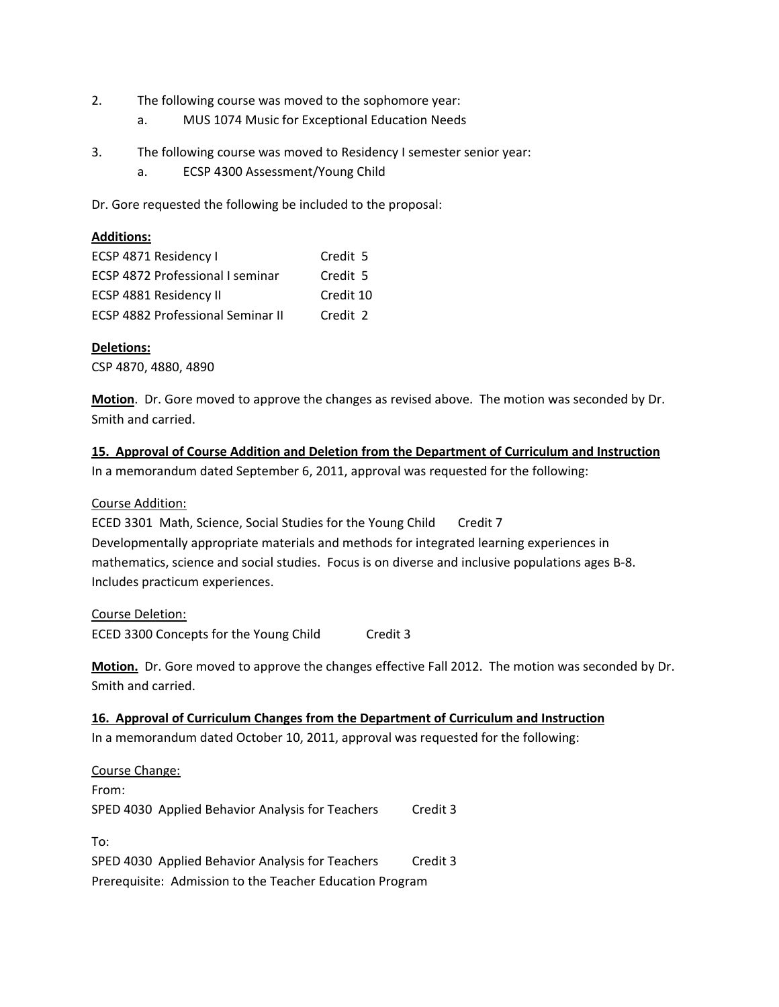- 2. The following course was moved to the sophomore year:
	- a. MUS 1074 Music for Exceptional Education Needs
- 3. The following course was moved to Residency I semester senior year:
	- a. ECSP 4300 Assessment/Young Child

Dr. Gore requested the following be included to the proposal:

# **Additions:**

| ECSP 4871 Residency I                    | Credit 5  |
|------------------------------------------|-----------|
| <b>ECSP 4872 Professional I seminar</b>  | Credit 5  |
| ECSP 4881 Residency II                   | Credit 10 |
| <b>ECSP 4882 Professional Seminar II</b> | Credit 2  |

# **Deletions:**

CSP 4870, 4880, 4890

**Motion**. Dr. Gore moved to approve the changes as revised above. The motion was seconded by Dr. Smith and carried.

# **15. Approval of Course Addition and Deletion from the Department of Curriculum and Instruction**

In a memorandum dated September 6, 2011, approval was requested for the following:

# Course Addition:

ECED 3301 Math, Science, Social Studies for the Young Child Credit 7 Developmentally appropriate materials and methods for integrated learning experiences in mathematics, science and social studies. Focus is on diverse and inclusive populations ages B‐8. Includes practicum experiences.

# Course Deletion:

ECED 3300 Concepts for the Young Child Credit 3

**Motion.** Dr. Gore moved to approve the changes effective Fall 2012. The motion was seconded by Dr. Smith and carried.

# **16. Approval of Curriculum Changes from the Department of Curriculum and Instruction**

In a memorandum dated October 10, 2011, approval was requested for the following:

| Course Change:                                           |          |  |  |  |
|----------------------------------------------------------|----------|--|--|--|
| From:                                                    |          |  |  |  |
| SPED 4030 Applied Behavior Analysis for Teachers         | Credit 3 |  |  |  |
|                                                          |          |  |  |  |
| To:                                                      |          |  |  |  |
| SPED 4030 Applied Behavior Analysis for Teachers         | Credit 3 |  |  |  |
| Prerequisite: Admission to the Teacher Education Program |          |  |  |  |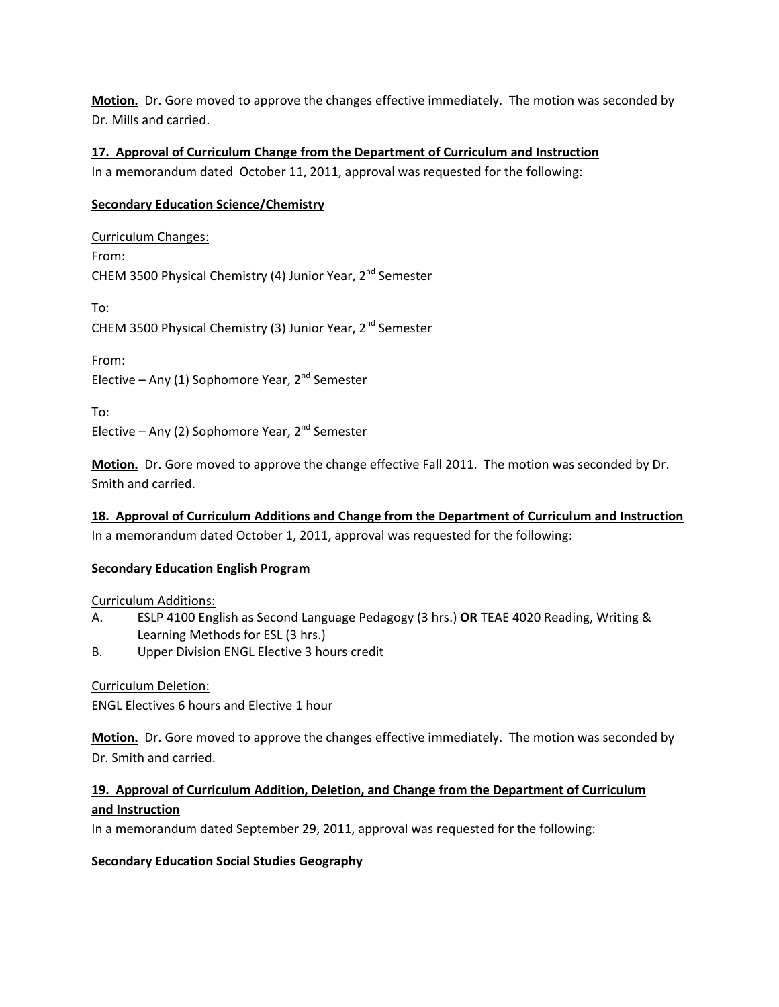**Motion.** Dr. Gore moved to approve the changes effective immediately. The motion was seconded by Dr. Mills and carried.

# **17. Approval of Curriculum Change from the Department of Curriculum and Instruction**

In a memorandum dated October 11, 2011, approval was requested for the following:

# **Secondary Education Science/Chemistry**

Curriculum Changes: From: CHEM 3500 Physical Chemistry (4) Junior Year, 2nd Semester To: CHEM 3500 Physical Chemistry (3) Junior Year, 2<sup>nd</sup> Semester

From:

Elective – Any (1) Sophomore Year,  $2^{nd}$  Semester

To:

Elective – Any (2) Sophomore Year,  $2^{nd}$  Semester

**Motion.** Dr. Gore moved to approve the change effective Fall 2011. The motion was seconded by Dr. Smith and carried.

**18. Approval of Curriculum Additions and Change from the Department of Curriculum and Instruction** In a memorandum dated October 1, 2011, approval was requested for the following:

# **Secondary Education English Program**

Curriculum Additions:

- A. ESLP 4100 English as Second Language Pedagogy (3 hrs.) **OR** TEAE 4020 Reading, Writing & Learning Methods for ESL (3 hrs.)
- B. Upper Division ENGL Elective 3 hours credit

Curriculum Deletion:

ENGL Electives 6 hours and Elective 1 hour

**Motion.** Dr. Gore moved to approve the changes effective immediately. The motion was seconded by Dr. Smith and carried.

# **19. Approval of Curriculum Addition, Deletion, and Change from the Department of Curriculum and Instruction**

In a memorandum dated September 29, 2011, approval was requested for the following:

# **Secondary Education Social Studies Geography**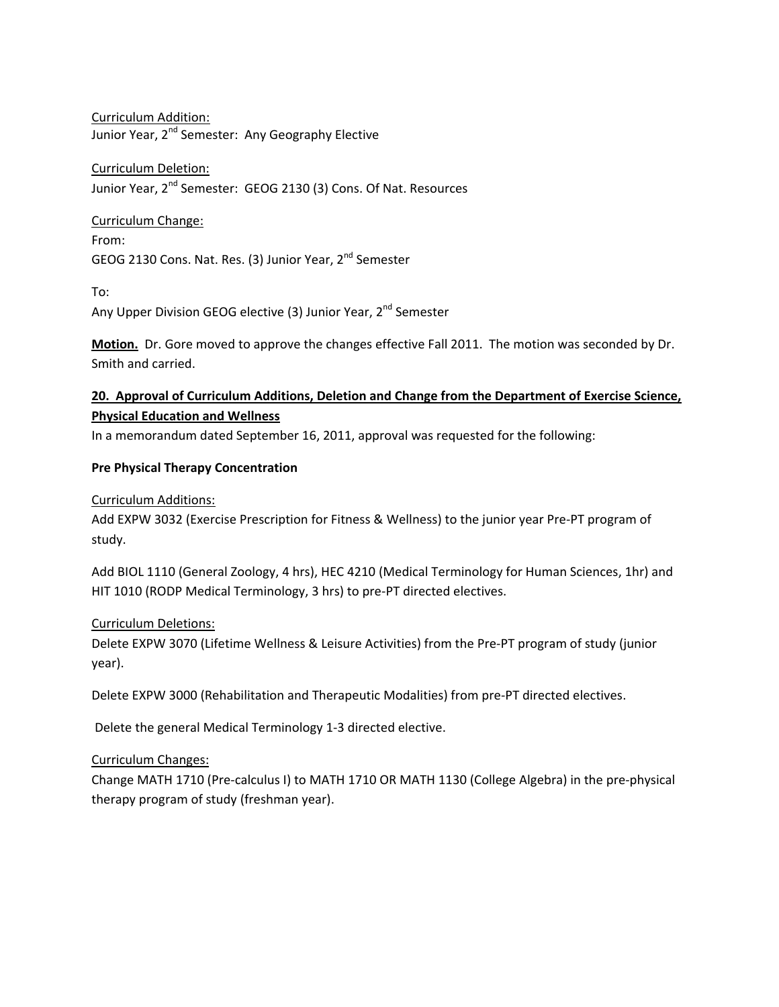Curriculum Addition: Junior Year, 2<sup>nd</sup> Semester: Any Geography Elective

# Curriculum Deletion:

Junior Year, 2<sup>nd</sup> Semester: GEOG 2130 (3) Cons. Of Nat. Resources

# Curriculum Change:

From: GEOG 2130 Cons. Nat. Res. (3) Junior Year, 2<sup>nd</sup> Semester

To:

Any Upper Division GEOG elective (3) Junior Year, 2<sup>nd</sup> Semester

**Motion.** Dr. Gore moved to approve the changes effective Fall 2011. The motion was seconded by Dr. Smith and carried.

# **20. Approval of Curriculum Additions, Deletion and Change from the Department of Exercise Science, Physical Education and Wellness**

In a memorandum dated September 16, 2011, approval was requested for the following:

# **Pre Physical Therapy Concentration**

# Curriculum Additions:

Add EXPW 3032 (Exercise Prescription for Fitness & Wellness) to the junior year Pre‐PT program of study.

Add BIOL 1110 (General Zoology, 4 hrs), HEC 4210 (Medical Terminology for Human Sciences, 1hr) and HIT 1010 (RODP Medical Terminology, 3 hrs) to pre‐PT directed electives.

# Curriculum Deletions:

Delete EXPW 3070 (Lifetime Wellness & Leisure Activities) from the Pre‐PT program of study (junior year).

Delete EXPW 3000 (Rehabilitation and Therapeutic Modalities) from pre‐PT directed electives.

Delete the general Medical Terminology 1‐3 directed elective.

# Curriculum Changes:

Change MATH 1710 (Pre‐calculus I) to MATH 1710 OR MATH 1130 (College Algebra) in the pre‐physical therapy program of study (freshman year).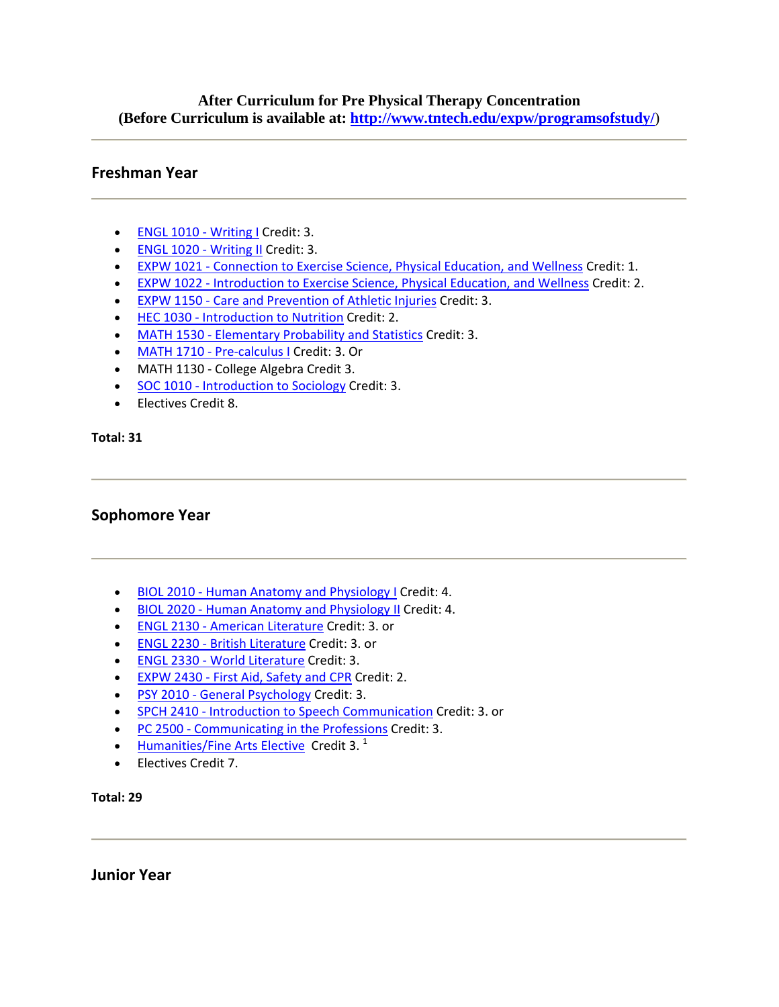# **After Curriculum for Pre Physical Therapy Concentration (Before Curriculum is available at: http://www.tntech.edu/expw/programsofstudy/**)

# **Freshman Year**

- ENGL 1010 Writing I Credit: 3.
- ENGL 1020 Writing II Credit: 3.
- EXPW 1021 Connection to Exercise Science, Physical Education, and Wellness Credit: 1.
- EXPW 1022 Introduction to Exercise Science, Physical Education, and Wellness Credit: 2.
- EXPW 1150 Care and Prevention of Athletic Injuries Credit: 3.
- HEC 1030 Introduction to Nutrition Credit: 2.
- MATH 1530 Elementary Probability and Statistics Credit: 3.
- MATH 1710 Pre-calculus I Credit: 3. Or
- MATH 1130 ‐ College Algebra Credit 3.
- SOC 1010 Introduction to Sociology Credit: 3.
- Electives Credit 8.

**Total: 31**

# **Sophomore Year**

- BIOL 2010 Human Anatomy and Physiology I Credit: 4.
- BIOL 2020 Human Anatomy and Physiology II Credit: 4.
- ENGL 2130 ‐ American Literature Credit: 3. or
- ENGL 2230 ‐ British Literature Credit: 3. or
- ENGL 2330 ‐ World Literature Credit: 3.
- EXPW 2430 ‐ First Aid, Safety and CPR Credit: 2.
- PSY 2010 General Psychology Credit: 3.
- SPCH 2410 Introduction to Speech Communication Credit: 3. or
- PC 2500 Communicating in the Professions Credit: 3.
- Humanities/Fine Arts Elective Credit 3. $<sup>1</sup>$ </sup>
- Electives Credit 7.

**Total: 29**

**Junior Year**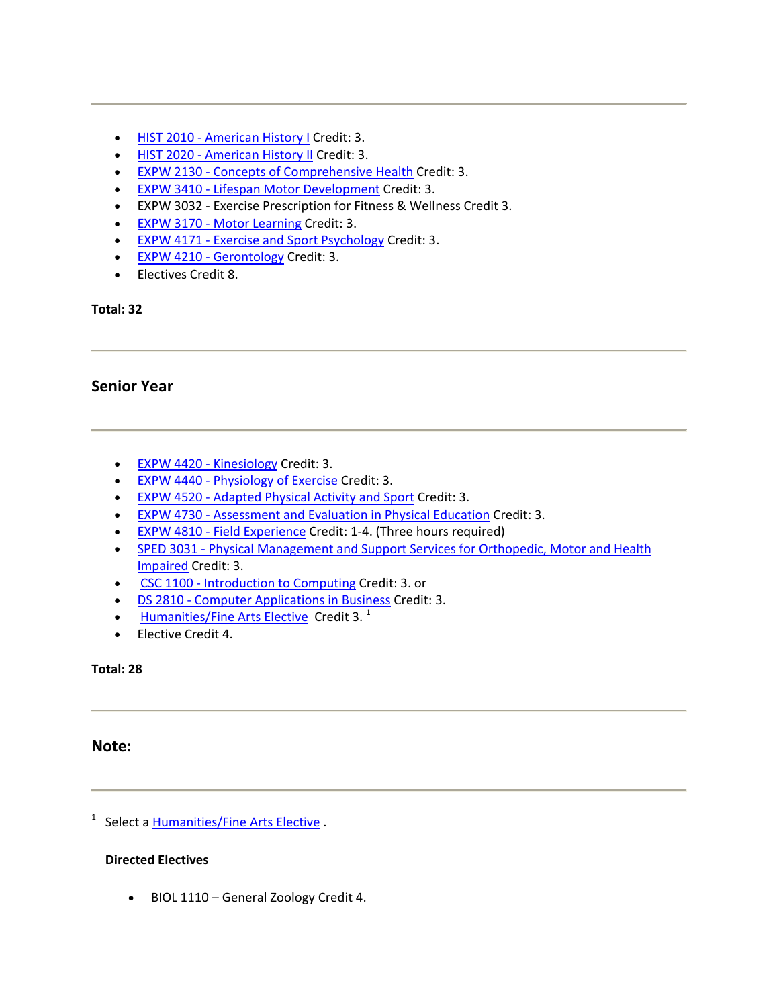- HIST 2010 American History I Credit: 3.
- HIST 2020 American History II Credit: 3.
- EXPW 2130 Concepts of Comprehensive Health Credit: 3.
- EXPW 3410 Lifespan Motor Development Credit: 3.
- EXPW 3032 ‐ Exercise Prescription for Fitness & Wellness Credit 3.
- EXPW 3170 Motor Learning Credit: 3.
- EXPW 4171 Exercise and Sport Psychology Credit: 3.
- EXPW 4210 Gerontology Credit: 3.
- Electives Credit 8.

# **Senior Year**

- EXPW 4420 Kinesiology Credit: 3.
- EXPW 4440 Physiology of Exercise Credit: 3.
- EXPW 4520 ‐ Adapted Physical Activity and Sport Credit: 3.
- EXPW 4730 ‐ Assessment and Evaluation in Physical Education Credit: 3.
- EXPW 4810 Field Experience Credit: 1-4. (Three hours required)
- SPED 3031 Physical Management and Support Services for Orthopedic, Motor and Health Impaired Credit: 3.
- CSC 1100 Introduction to Computing Credit: 3. or
- DS 2810 Computer Applications in Business Credit: 3.
- Humanities/Fine Arts Elective Credit 3. $<sup>1</sup>$ </sup>
- Elective Credit 4.

# **Total: 28**

# **Note:**

<sup>1</sup> Select a **Humanities/Fine Arts Elective** 

# **Directed Electives**

• BIOL 1110 – General Zoology Credit 4.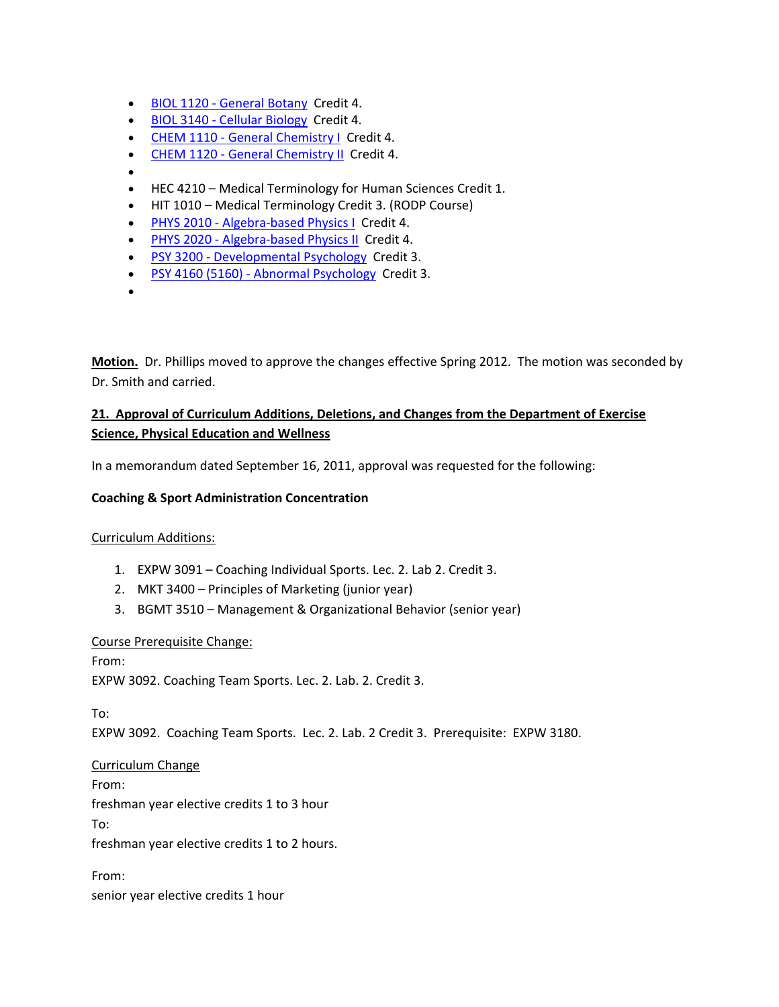- BIOL 1120 General Botany Credit 4.
- BIOL 3140 ‐ Cellular Biology Credit 4.
- CHEM 1110 General Chemistry I Credit 4.
- CHEM 1120 General Chemistry II Credit 4.
- •
- HEC 4210 Medical Terminology for Human Sciences Credit 1.
- HIT 1010 Medical Terminology Credit 3. (RODP Course)
- PHYS 2010 Algebra-based Physics I Credit 4.
- PHYS 2020 Algebra-based Physics II Credit 4.
- PSY 3200 Developmental Psychology Credit 3.
- PSY 4160 (5160) Abnormal Psychology Credit 3.
- •

**Motion.** Dr. Phillips moved to approve the changes effective Spring 2012. The motion was seconded by Dr. Smith and carried.

# **21. Approval of Curriculum Additions, Deletions, and Changes from the Department of Exercise Science, Physical Education and Wellness**

In a memorandum dated September 16, 2011, approval was requested for the following:

# **Coaching & Sport Administration Concentration**

# Curriculum Additions:

- 1. EXPW 3091 Coaching Individual Sports. Lec. 2. Lab 2. Credit 3.
- 2. MKT 3400 Principles of Marketing (junior year)
- 3. BGMT 3510 Management & Organizational Behavior (senior year)

# Course Prerequisite Change:

From: EXPW 3092. Coaching Team Sports. Lec. 2. Lab. 2. Credit 3.

To:

EXPW 3092. Coaching Team Sports. Lec. 2. Lab. 2 Credit 3. Prerequisite: EXPW 3180.

# Curriculum Change

From:

freshman year elective credits 1 to 3 hour

To:

freshman year elective credits 1 to 2 hours.

From:

senior year elective credits 1 hour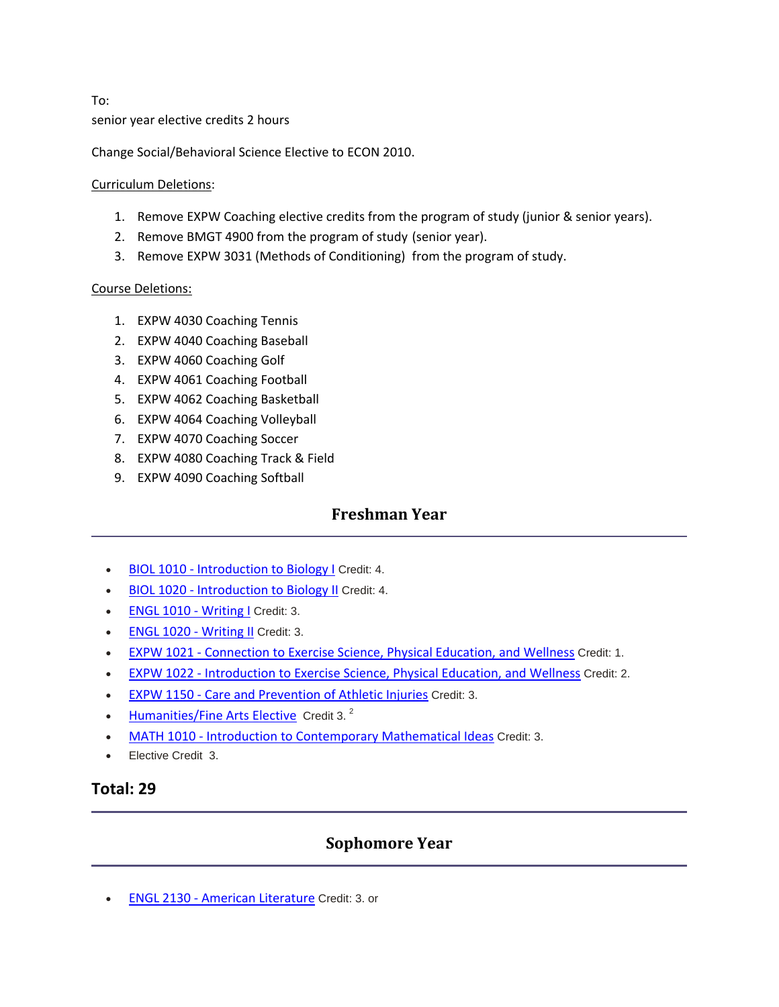To: senior year elective credits 2 hours

Change Social/Behavioral Science Elective to ECON 2010.

# Curriculum Deletions:

- 1. Remove EXPW Coaching elective credits from the program of study (junior & senior years).
- 2. Remove BMGT 4900 from the program of study (senior year).
- 3. Remove EXPW 3031 (Methods of Conditioning) from the program of study.

# Course Deletions:

- 1. EXPW 4030 Coaching Tennis
- 2. EXPW 4040 Coaching Baseball
- 3. EXPW 4060 Coaching Golf
- 4. EXPW 4061 Coaching Football
- 5. EXPW 4062 Coaching Basketball
- 6. EXPW 4064 Coaching Volleyball
- 7. EXPW 4070 Coaching Soccer
- 8. EXPW 4080 Coaching Track & Field
- 9. EXPW 4090 Coaching Softball

# **Freshman Year**

- BIOL 1010 Introduction to Biology I Credit: 4.
- BIOL 1020 ‐ Introduction to Biology II Credit: 4.
- ENGL 1010 Writing I Credit: 3.
- **ENGL 1020 Writing II Credit: 3.**
- EXPW 1021 Connection to Exercise Science, Physical Education, and Wellness Credit: 1.
- EXPW 1022 ‐ Introduction to Exercise Science, Physical Education, and Wellness Credit: 2.
- EXPW 1150 Care and Prevention of Athletic Injuries Credit: 3.
- Humanities/Fine Arts Elective Credit 3.<sup>2</sup>
- MATH 1010 Introduction to Contemporary Mathematical Ideas Credit: 3.
- Elective Credit 3.

# **Total: 29**

# **Sophomore Year**

• ENGL 2130 ‐ American Literature Credit: 3. or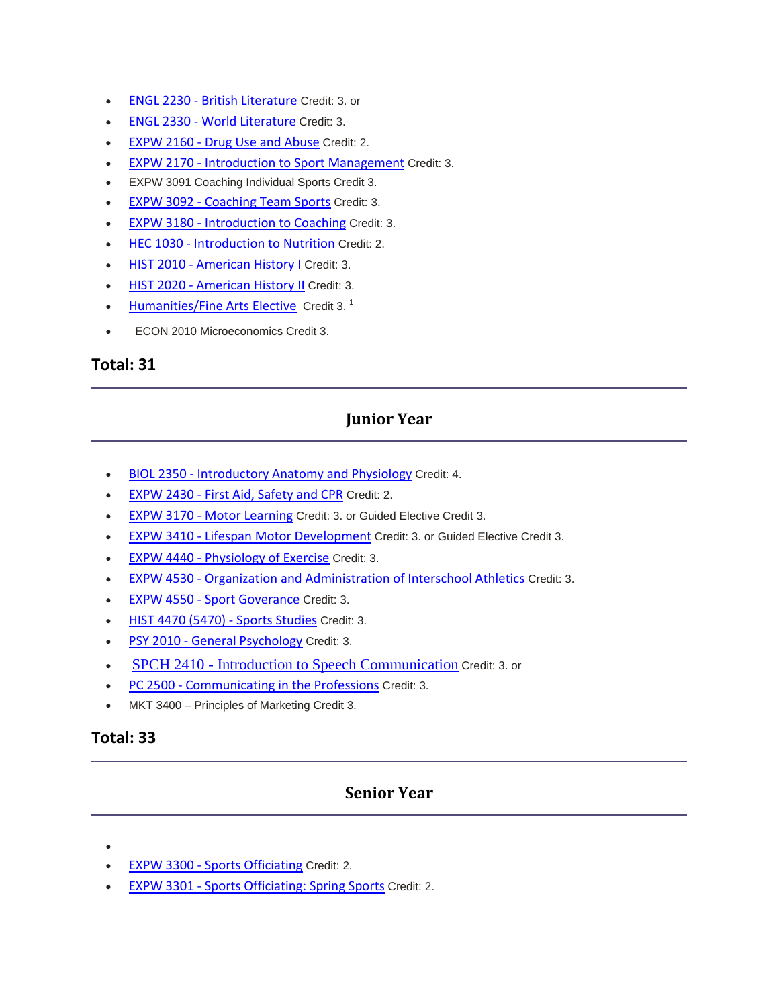- ENGL 2230 British Literature Credit: 3. or
- **ENGL 2330 World Literature Credit: 3.**
- EXPW 2160 Drug Use and Abuse Credit: 2.
- EXPW 2170 ‐ Introduction to Sport Management Credit: 3.
- EXPW 3091 Coaching Individual Sports Credit 3.
- **EXPW 3092 Coaching Team Sports Credit: 3.**
- **EXPW 3180 Introduction to Coaching Credit: 3.**
- **HEC 1030 Introduction to Nutrition Credit: 2.**
- **HIST 2010 American History I Credit: 3.**
- **HIST 2020 American History II Credit: 3.**
- Humanities/Fine Arts Elective Credit 3.<sup>1</sup>
- ECON 2010 Microeconomics Credit 3.

# **Junior Year**

- BIOL 2350 ‐ Introductory Anatomy and Physiology Credit: 4.
- **EXPW 2430 First Aid, Safety and CPR Credit: 2.**
- **EXPW 3170 Motor Learning Credit: 3. or Guided Elective Credit 3.**
- EXPW 3410 ‐ Lifespan Motor Development Credit: 3. or Guided Elective Credit 3.
- EXPW 4440 ‐ Physiology of Exercise Credit: 3.
- EXPW 4530 Organization and Administration of Interschool Athletics Credit: 3.
- EXPW 4550 Sport Goverance Credit: 3.
- **HIST 4470 (5470) Sports Studies Credit: 3.**
- PSY 2010 General Psychology Credit: 3.
- SPCH 2410 Introduction to Speech Communication Credit: 3. or
- PC 2500 Communicating in the Professions Credit: 3.
- MKT 3400 Principles of Marketing Credit 3.

# **Total: 33**

# **Senior Year**

- •
- EXPW 3300 ‐ Sports Officiating Credit: 2.
- EXPW 3301 ‐ Sports Officiating: Spring Sports Credit: 2.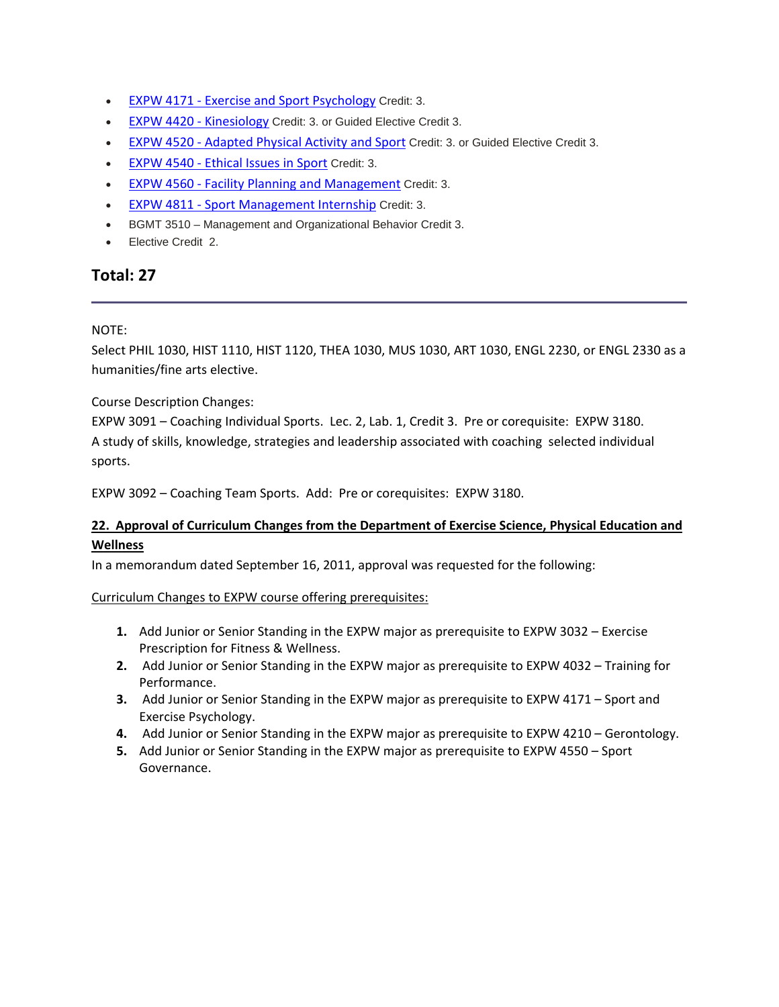- EXPW 4171 Exercise and Sport Psychology Credit: 3.
- EXPW 4420 Kinesiology Credit: 3. or Guided Elective Credit 3.
- EXPW 4520 Adapted Physical Activity and Sport Credit: 3. or Guided Elective Credit 3.
- EXPW 4540 Ethical Issues in Sport Credit: 3.
- EXPW 4560 Facility Planning and Management Credit: 3.
- EXPW 4811 Sport Management Internship Credit: 3.
- BGMT 3510 Management and Organizational Behavior Credit 3.
- Elective Credit 2.

# NOTE:

Select PHIL 1030, HIST 1110, HIST 1120, THEA 1030, MUS 1030, ART 1030, ENGL 2230, or ENGL 2330 as a humanities/fine arts elective.

Course Description Changes:

EXPW 3091 – Coaching Individual Sports. Lec. 2, Lab. 1, Credit 3. Pre or corequisite: EXPW 3180. A study of skills, knowledge, strategies and leadership associated with coaching selected individual sports.

EXPW 3092 – Coaching Team Sports. Add: Pre or corequisites: EXPW 3180.

# **22. Approval of Curriculum Changes from the Department of Exercise Science, Physical Education and Wellness**

In a memorandum dated September 16, 2011, approval was requested for the following:

# Curriculum Changes to EXPW course offering prerequisites:

- **1.** Add Junior or Senior Standing in the EXPW major as prerequisite to EXPW 3032 Exercise Prescription for Fitness & Wellness.
- **2.** Add Junior or Senior Standing in the EXPW major as prerequisite to EXPW 4032 Training for Performance.
- **3.** Add Junior or Senior Standing in the EXPW major as prerequisite to EXPW 4171 Sport and Exercise Psychology.
- **4.** Add Junior or Senior Standing in the EXPW major as prerequisite to EXPW 4210 Gerontology.
- **5.** Add Junior or Senior Standing in the EXPW major as prerequisite to EXPW 4550 Sport Governance.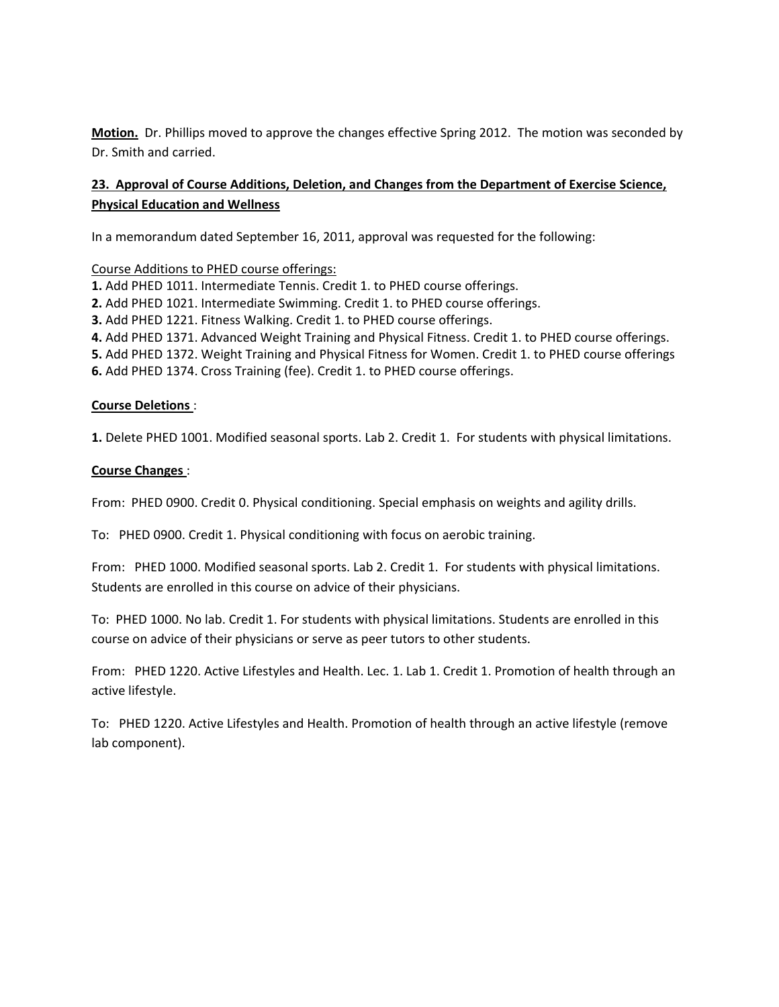**Motion.** Dr. Phillips moved to approve the changes effective Spring 2012. The motion was seconded by Dr. Smith and carried.

# **23. Approval of Course Additions, Deletion, and Changes from the Department of Exercise Science, Physical Education and Wellness**

In a memorandum dated September 16, 2011, approval was requested for the following:

Course Additions to PHED course offerings:

- **1.** Add PHED 1011. Intermediate Tennis. Credit 1. to PHED course offerings.
- **2.** Add PHED 1021. Intermediate Swimming. Credit 1. to PHED course offerings.
- **3.** Add PHED 1221. Fitness Walking. Credit 1. to PHED course offerings.
- **4.** Add PHED 1371. Advanced Weight Training and Physical Fitness. Credit 1. to PHED course offerings.

**5.** Add PHED 1372. Weight Training and Physical Fitness for Women. Credit 1. to PHED course offerings **6.** Add PHED 1374. Cross Training (fee). Credit 1. to PHED course offerings.

#### **Course Deletions** :

**1.** Delete PHED 1001. Modified seasonal sports. Lab 2. Credit 1. For students with physical limitations.

#### **Course Changes** :

From: PHED 0900. Credit 0. Physical conditioning. Special emphasis on weights and agility drills.

To: PHED 0900. Credit 1. Physical conditioning with focus on aerobic training.

From: PHED 1000. Modified seasonal sports. Lab 2. Credit 1. For students with physical limitations. Students are enrolled in this course on advice of their physicians.

To: PHED 1000. No lab. Credit 1. For students with physical limitations. Students are enrolled in this course on advice of their physicians or serve as peer tutors to other students.

From: PHED 1220. Active Lifestyles and Health. Lec. 1. Lab 1. Credit 1. Promotion of health through an active lifestyle.

To: PHED 1220. Active Lifestyles and Health. Promotion of health through an active lifestyle (remove lab component).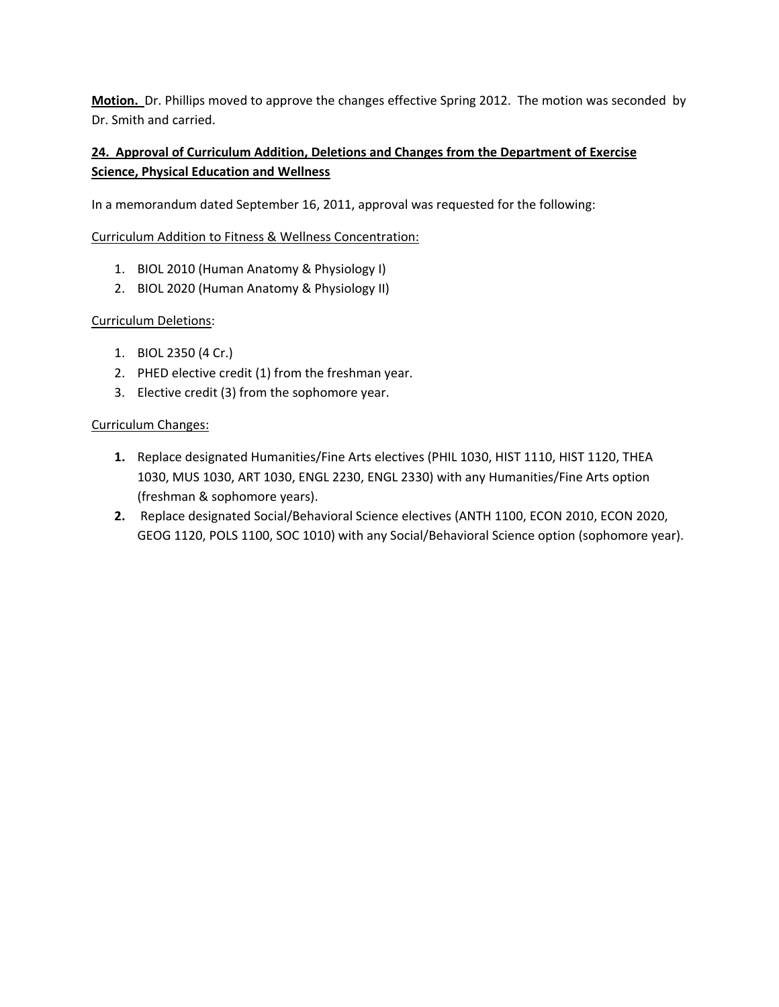**Motion.** Dr. Phillips moved to approve the changes effective Spring 2012. The motion was seconded by Dr. Smith and carried.

# **24. Approval of Curriculum Addition, Deletions and Changes from the Department of Exercise Science, Physical Education and Wellness**

In a memorandum dated September 16, 2011, approval was requested for the following:

# Curriculum Addition to Fitness & Wellness Concentration:

- 1. BIOL 2010 (Human Anatomy & Physiology I)
- 2. BIOL 2020 (Human Anatomy & Physiology II)

# Curriculum Deletions:

- 1. BIOL 2350 (4 Cr.)
- 2. PHED elective credit (1) from the freshman year.
- 3. Elective credit (3) from the sophomore year.

#### Curriculum Changes:

- **1.** Replace designated Humanities/Fine Arts electives (PHIL 1030, HIST 1110, HIST 1120, THEA 1030, MUS 1030, ART 1030, ENGL 2230, ENGL 2330) with any Humanities/Fine Arts option (freshman & sophomore years).
- **2.** Replace designated Social/Behavioral Science electives (ANTH 1100, ECON 2010, ECON 2020, GEOG 1120, POLS 1100, SOC 1010) with any Social/Behavioral Science option (sophomore year).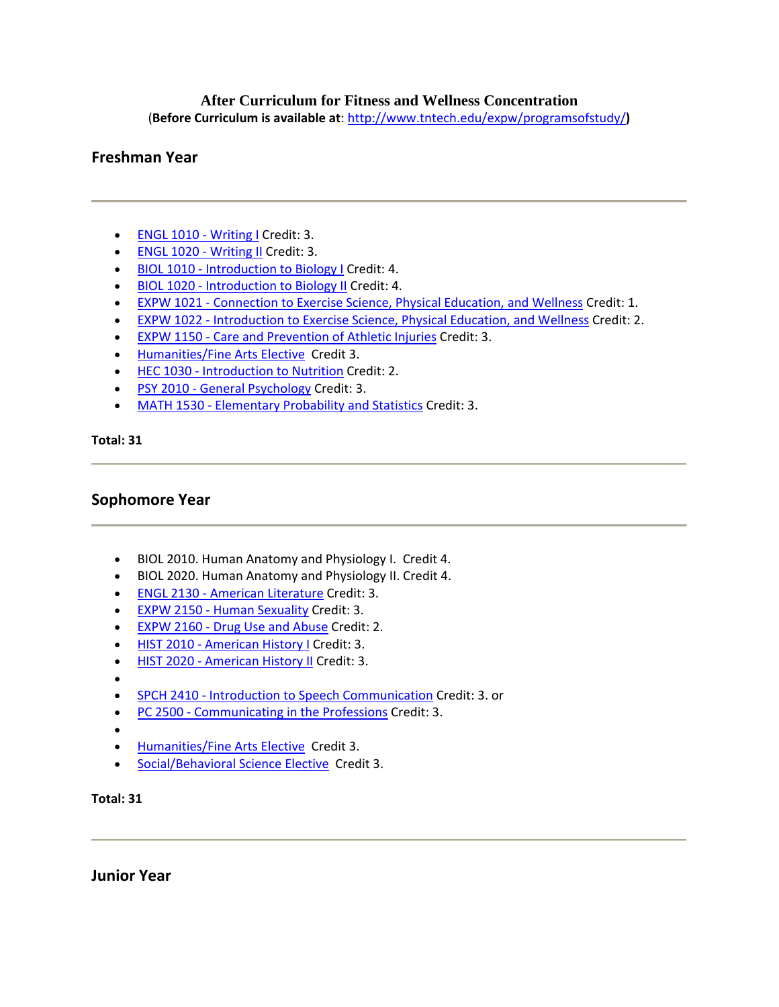# **After Curriculum for Fitness and Wellness Concentration**

(**Before Curriculum is available at**: http://www.tntech.edu/expw/programsofstudy/**)**

# **Freshman Year**

- ENGL 1010 Writing I Credit: 3.
- ENGL 1020 Writing II Credit: 3.
- BIOL 1010 Introduction to Biology I Credit: 4.
- BIOL 1020 ‐ Introduction to Biology II Credit: 4.
- EXPW 1021 Connection to Exercise Science, Physical Education, and Wellness Credit: 1.
- EXPW 1022 ‐ Introduction to Exercise Science, Physical Education, and Wellness Credit: 2.
- EXPW 1150 ‐ Care and Prevention of Athletic Injuries Credit: 3.
- Humanities/Fine Arts Elective Credit 3.
- HEC 1030 Introduction to Nutrition Credit: 2.
- PSY 2010 General Psychology Credit: 3.
- MATH 1530 Elementary Probability and Statistics Credit: 3.

**Total: 31**

# **Sophomore Year**

- BIOL 2010. Human Anatomy and Physiology I. Credit 4.
- BIOL 2020. Human Anatomy and Physiology II. Credit 4.
- ENGL 2130 ‐ American Literature Credit: 3.
- EXPW 2150 ‐ Human Sexuality Credit: 3.
- EXPW 2160 Drug Use and Abuse Credit: 2.
- HIST 2010 American History I Credit: 3.
- HIST 2020 American History II Credit: 3.
- •
- SPCH 2410 Introduction to Speech Communication Credit: 3. or
- PC 2500 Communicating in the Professions Credit: 3.
- •
- Humanities/Fine Arts Elective Credit 3.
- Social/Behavioral Science Elective Credit 3.

**Total: 31**

**Junior Year**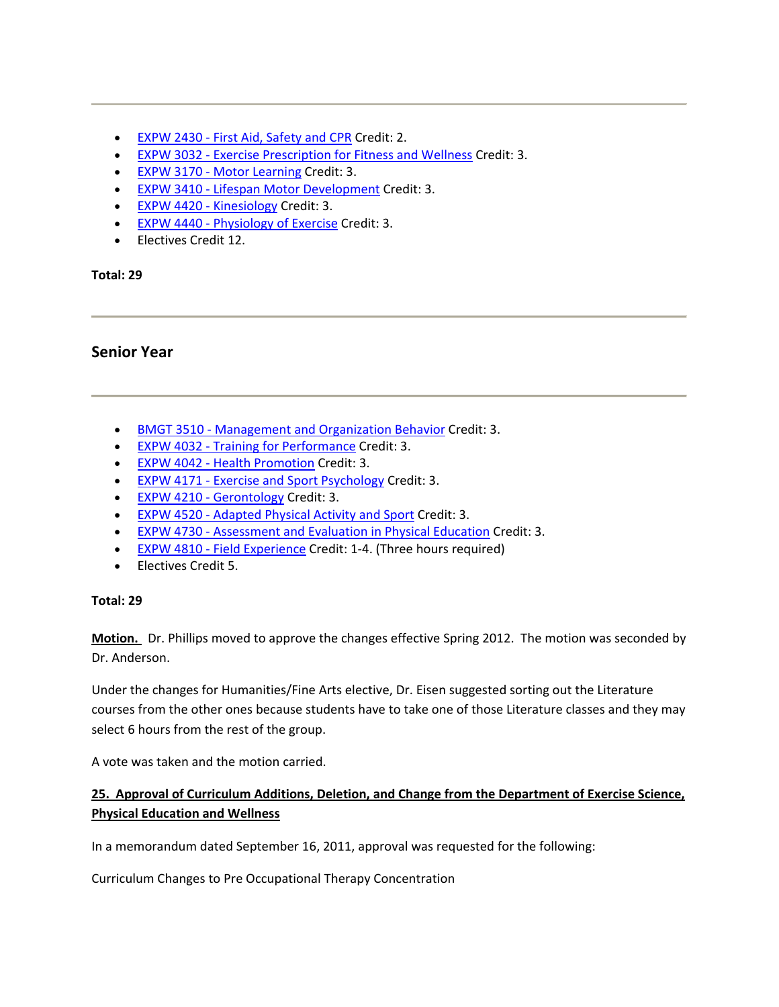- EXPW 2430 First Aid, Safety and CPR Credit: 2.
- EXPW 3032 ‐ Exercise Prescription for Fitness and Wellness Credit: 3.
- EXPW 3170 Motor Learning Credit: 3.
- EXPW 3410 Lifespan Motor Development Credit: 3.
- EXPW 4420 Kinesiology Credit: 3.
- EXPW 4440 Physiology of Exercise Credit: 3.
- Electives Credit 12.

# **Senior Year**

- BMGT 3510 Management and Organization Behavior Credit: 3.
- EXPW 4032 ‐ Training for Performance Credit: 3.
- EXPW 4042 ‐ Health Promotion Credit: 3.
- EXPW 4171 Exercise and Sport Psychology Credit: 3.
- EXPW 4210 Gerontology Credit: 3.
- EXPW 4520 ‐ Adapted Physical Activity and Sport Credit: 3.
- EXPW 4730 ‐ Assessment and Evaluation in Physical Education Credit: 3.
- EXPW 4810 Field Experience Credit: 1-4. (Three hours required)
- Electives Credit 5.

# **Total: 29**

**Motion.** Dr. Phillips moved to approve the changes effective Spring 2012. The motion was seconded by Dr. Anderson.

Under the changes for Humanities/Fine Arts elective, Dr. Eisen suggested sorting out the Literature courses from the other ones because students have to take one of those Literature classes and they may select 6 hours from the rest of the group.

A vote was taken and the motion carried.

# **25. Approval of Curriculum Additions, Deletion, and Change from the Department of Exercise Science, Physical Education and Wellness**

In a memorandum dated September 16, 2011, approval was requested for the following:

Curriculum Changes to Pre Occupational Therapy Concentration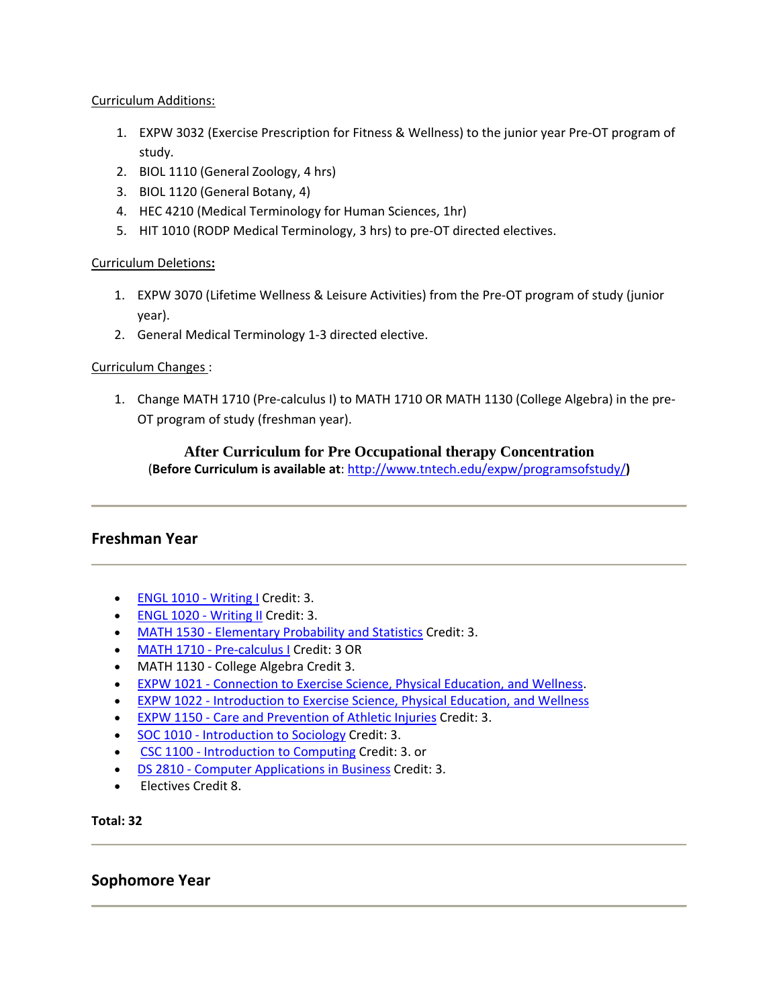# Curriculum Additions:

- 1. EXPW 3032 (Exercise Prescription for Fitness & Wellness) to the junior year Pre‐OT program of study.
- 2. BIOL 1110 (General Zoology, 4 hrs)
- 3. BIOL 1120 (General Botany, 4)
- 4. HEC 4210 (Medical Terminology for Human Sciences, 1hr)
- 5. HIT 1010 (RODP Medical Terminology, 3 hrs) to pre-OT directed electives.

# Curriculum Deletions**:**

- 1. EXPW 3070 (Lifetime Wellness & Leisure Activities) from the Pre‐OT program of study (junior year).
- 2. General Medical Terminology 1‐3 directed elective.

# Curriculum Changes :

1. Change MATH 1710 (Pre‐calculus I) to MATH 1710 OR MATH 1130 (College Algebra) in the pre‐ OT program of study (freshman year).

# **After Curriculum for Pre Occupational therapy Concentration**

(**Before Curriculum is available at**: http://www.tntech.edu/expw/programsofstudy/**)**

# **Freshman Year**

- ENGL 1010 Writing I Credit: 3.
- ENGL 1020 Writing II Credit: 3.
- MATH 1530 Elementary Probability and Statistics Credit: 3.
- MATH 1710 Pre-calculus I Credit: 3 OR
- MATH 1130 College Algebra Credit 3.
- EXPW 1021 Connection to Exercise Science, Physical Education, and Wellness.
- EXPW 1022 ‐ Introduction to Exercise Science, Physical Education, and Wellness
- EXPW 1150 ‐ Care and Prevention of Athletic Injuries Credit: 3.
- SOC 1010 Introduction to Sociology Credit: 3.
- CSC 1100 Introduction to Computing Credit: 3. or
- DS 2810 Computer Applications in Business Credit: 3.
- Electives Credit 8.

# **Total: 32**

# **Sophomore Year**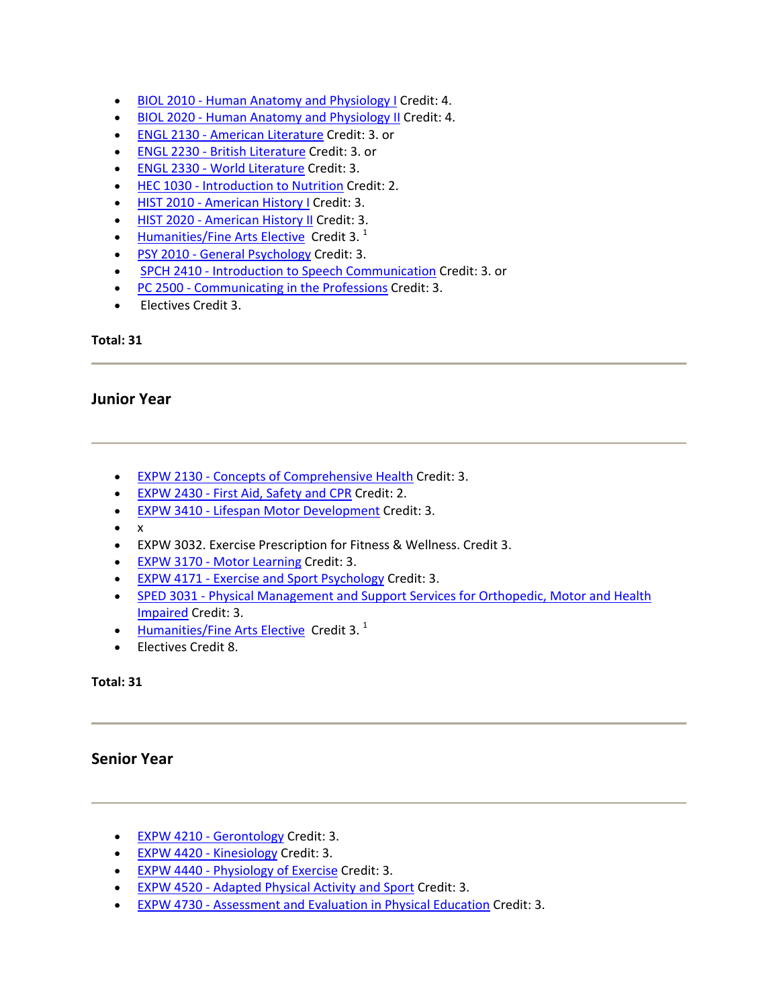- BIOL 2010 Human Anatomy and Physiology I Credit: 4.
- BIOL 2020 Human Anatomy and Physiology II Credit: 4.
- ENGL 2130 ‐ American Literature Credit: 3. or
- ENGL 2230 British Literature Credit: 3. or
- ENGL 2330 ‐ World Literature Credit: 3.
- HEC 1030 ‐ Introduction to Nutrition Credit: 2.
- HIST 2010 American History I Credit: 3.
- HIST 2020 American History II Credit: 3.
- Humanities/Fine Arts Elective Credit 3. $<sup>1</sup>$ </sup>
- PSY 2010 General Psychology Credit: 3.
- SPCH 2410 Introduction to Speech Communication Credit: 3. or
- PC 2500 Communicating in the Professions Credit: 3.
- Electives Credit 3.

# **Junior Year**

- EXPW 2130 ‐ Concepts of Comprehensive Health Credit: 3.
- EXPW 2430 First Aid, Safety and CPR Credit: 2.
- EXPW 3410 ‐ Lifespan Motor Development Credit: 3.
- $\bullet$  x
- EXPW 3032. Exercise Prescription for Fitness & Wellness. Credit 3.
- EXPW 3170 Motor Learning Credit: 3.
- EXPW 4171 Exercise and Sport Psychology Credit: 3.
- SPED 3031 Physical Management and Support Services for Orthopedic, Motor and Health Impaired Credit: 3.
- Humanities/Fine Arts Elective Credit 3.<sup>1</sup>
- Electives Credit 8.

# **Total: 31**

# **Senior Year**

- EXPW 4210 Gerontology Credit: 3.
- EXPW 4420 Kinesiology Credit: 3.
- EXPW 4440 Physiology of Exercise Credit: 3.
- EXPW 4520 ‐ Adapted Physical Activity and Sport Credit: 3.
- EXPW 4730 ‐ Assessment and Evaluation in Physical Education Credit: 3.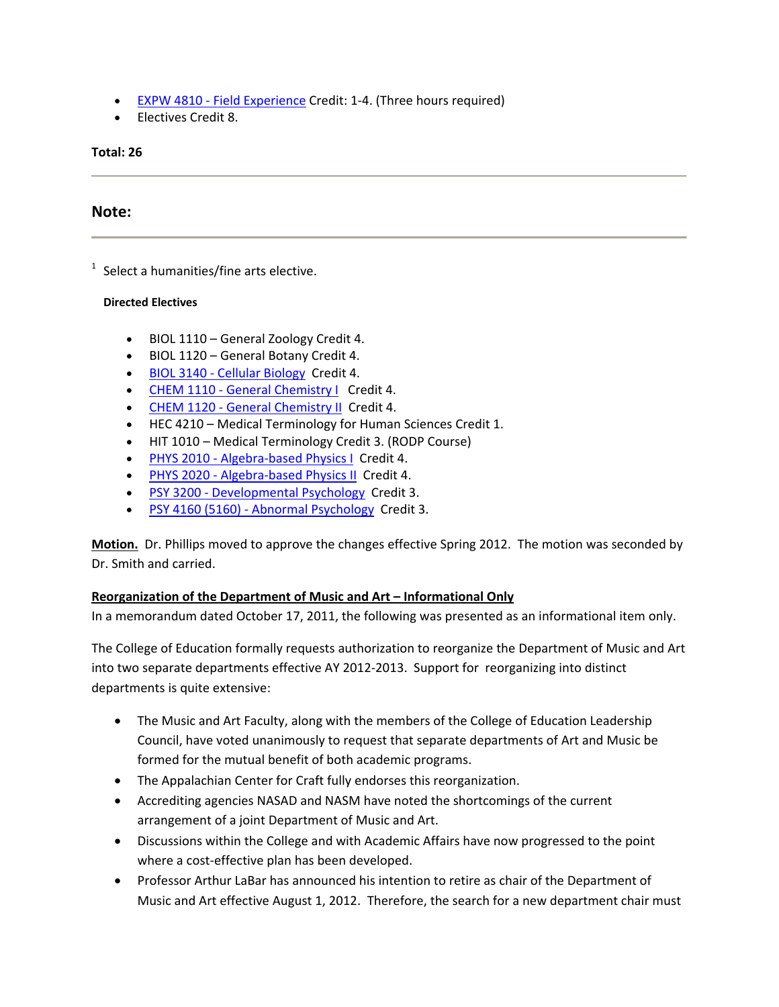- EXPW 4810 Field Experience Credit: 1-4. (Three hours required)
- Electives Credit 8.

# **Note:**

 $1$  Select a humanities/fine arts elective.

#### **Directed Electives**

- BIOL 1110 General Zoology Credit 4.
- BIOL 1120 General Botany Credit 4.
- BIOL 3140 ‐ Cellular Biology Credit 4.
- CHEM 1110 General Chemistry | Credit 4.
- CHEM 1120 General Chemistry II Credit 4.
- HEC 4210 Medical Terminology for Human Sciences Credit 1.
- HIT 1010 Medical Terminology Credit 3. (RODP Course)
- PHYS 2010 Algebra-based Physics I Credit 4.
- PHYS 2020 Algebra-based Physics II Credit 4.
- PSY 3200 Developmental Psychology Credit 3.
- PSY 4160 (5160) ‐ Abnormal Psychology Credit 3.

**Motion.** Dr. Phillips moved to approve the changes effective Spring 2012. The motion was seconded by Dr. Smith and carried.

# **Reorganization of the Department of Music and Art – Informational Only**

In a memorandum dated October 17, 2011, the following was presented as an informational item only.

The College of Education formally requests authorization to reorganize the Department of Music and Art into two separate departments effective AY 2012‐2013. Support for reorganizing into distinct departments is quite extensive:

- The Music and Art Faculty, along with the members of the College of Education Leadership Council, have voted unanimously to request that separate departments of Art and Music be formed for the mutual benefit of both academic programs.
- The Appalachian Center for Craft fully endorses this reorganization.
- Accrediting agencies NASAD and NASM have noted the shortcomings of the current arrangement of a joint Department of Music and Art.
- Discussions within the College and with Academic Affairs have now progressed to the point where a cost-effective plan has been developed.
- Professor Arthur LaBar has announced his intention to retire as chair of the Department of Music and Art effective August 1, 2012. Therefore, the search for a new department chair must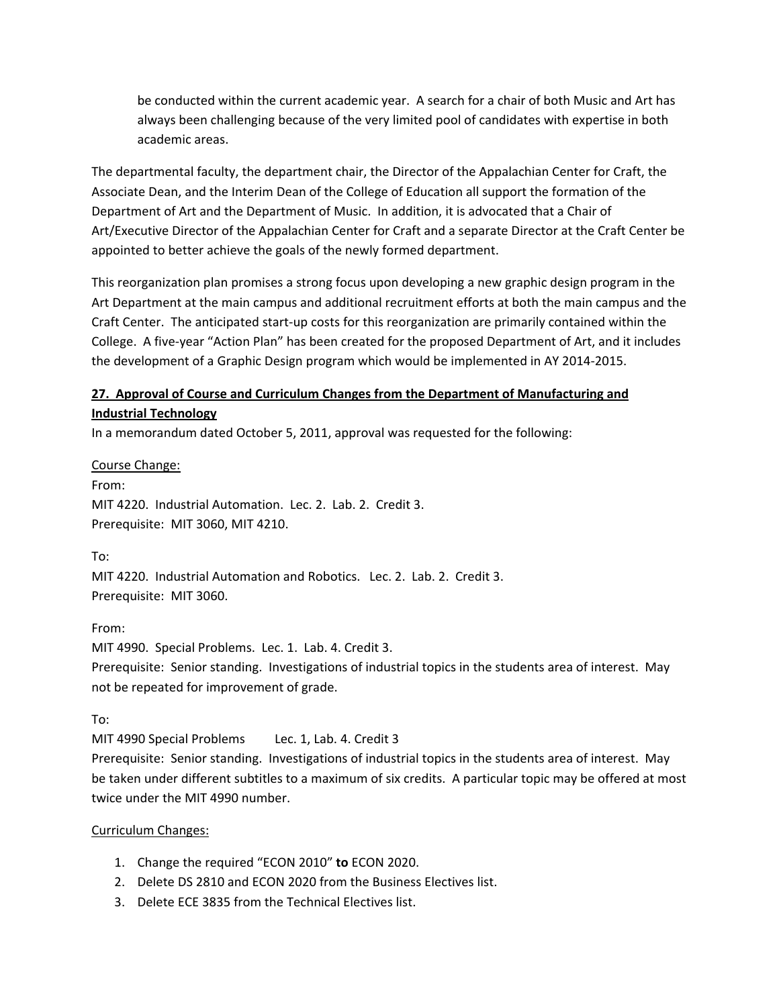be conducted within the current academic year. A search for a chair of both Music and Art has always been challenging because of the very limited pool of candidates with expertise in both academic areas.

The departmental faculty, the department chair, the Director of the Appalachian Center for Craft, the Associate Dean, and the Interim Dean of the College of Education all support the formation of the Department of Art and the Department of Music. In addition, it is advocated that a Chair of Art/Executive Director of the Appalachian Center for Craft and a separate Director at the Craft Center be appointed to better achieve the goals of the newly formed department.

This reorganization plan promises a strong focus upon developing a new graphic design program in the Art Department at the main campus and additional recruitment efforts at both the main campus and the Craft Center. The anticipated start‐up costs for this reorganization are primarily contained within the College. A five‐year "Action Plan" has been created for the proposed Department of Art, and it includes the development of a Graphic Design program which would be implemented in AY 2014‐2015.

# **27. Approval of Course and Curriculum Changes from the Department of Manufacturing and Industrial Technology**

In a memorandum dated October 5, 2011, approval was requested for the following:

Course Change: From: MIT 4220. Industrial Automation. Lec. 2. Lab. 2. Credit 3. Prerequisite: MIT 3060, MIT 4210.

To:

MIT 4220. Industrial Automation and Robotics. Lec. 2. Lab. 2. Credit 3. Prerequisite: MIT 3060.

# From:

MIT 4990. Special Problems. Lec. 1. Lab. 4. Credit 3. Prerequisite: Senior standing. Investigations of industrial topics in the students area of interest. May not be repeated for improvement of grade.

To:

MIT 4990 Special Problems Lec. 1, Lab. 4. Credit 3

Prerequisite: Senior standing. Investigations of industrial topics in the students area of interest. May be taken under different subtitles to a maximum of six credits. A particular topic may be offered at most twice under the MIT 4990 number.

# Curriculum Changes:

- 1. Change the required "ECON 2010" **to** ECON 2020.
- 2. Delete DS 2810 and ECON 2020 from the Business Electives list.
- 3. Delete ECE 3835 from the Technical Electives list.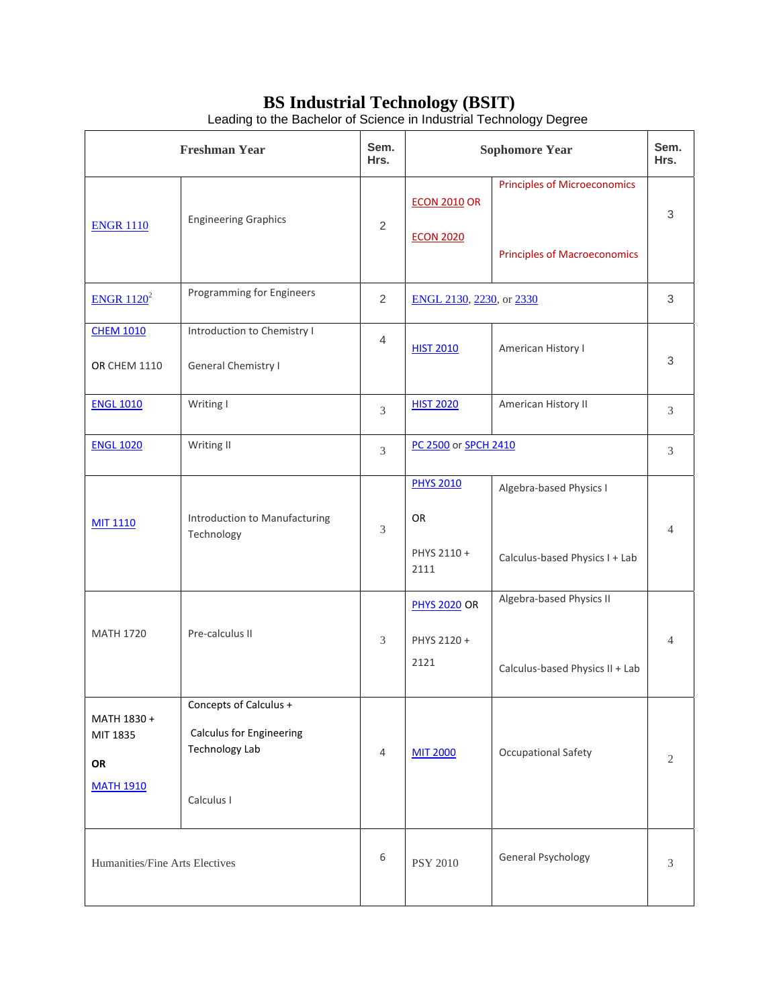# **BS Industrial Technology (BSIT)**

| <b>Freshman Year</b>                              |                                                                                                  | Sem.<br>Hrs.   | <b>Sophomore Year</b>                         |                                                                            | Sem.<br>Hrs.   |
|---------------------------------------------------|--------------------------------------------------------------------------------------------------|----------------|-----------------------------------------------|----------------------------------------------------------------------------|----------------|
| <b>ENGR 1110</b>                                  | <b>Engineering Graphics</b>                                                                      | $\overline{2}$ | <b>ECON 2010 OR</b><br><b>ECON 2020</b>       | <b>Principles of Microeconomics</b><br><b>Principles of Macroeconomics</b> | 3              |
| ENGR $1120^2$                                     | Programming for Engineers                                                                        | $\overline{2}$ | ENGL 2130, 2230, or 2330                      |                                                                            | 3              |
| <b>CHEM 1010</b><br><b>OR CHEM 1110</b>           | Introduction to Chemistry I<br>General Chemistry I                                               | 4              | <b>HIST 2010</b>                              | American History I                                                         | 3              |
| <b>ENGL 1010</b>                                  | Writing I                                                                                        | 3              | <b>HIST 2020</b>                              | American History II                                                        | 3              |
| <b>ENGL 1020</b>                                  | Writing II                                                                                       | 3              | PC 2500 or SPCH 2410                          |                                                                            | 3              |
| <b>MIT 1110</b>                                   | Introduction to Manufacturing<br>Technology                                                      | 3              | <b>PHYS 2010</b><br>OR<br>PHYS 2110 +<br>2111 | Algebra-based Physics I<br>Calculus-based Physics I + Lab                  | $\overline{4}$ |
| <b>MATH 1720</b>                                  | Pre-calculus II                                                                                  | 3              | <b>PHYS 2020 OR</b><br>PHYS 2120 +<br>2121    | Algebra-based Physics II<br>Calculus-based Physics II + Lab                | $\overline{4}$ |
| MATH 1830 +<br>MIT 1835<br>OR<br><b>MATH 1910</b> | Concepts of Calculus +<br><b>Calculus for Engineering</b><br><b>Technology Lab</b><br>Calculus I | 4              | <b>MIT 2000</b>                               | <b>Occupational Safety</b>                                                 | 2              |
| Humanities/Fine Arts Electives                    |                                                                                                  | 6              | <b>PSY 2010</b>                               | General Psychology                                                         | 3              |

Leading to the Bachelor of Science in Industrial Technology Degree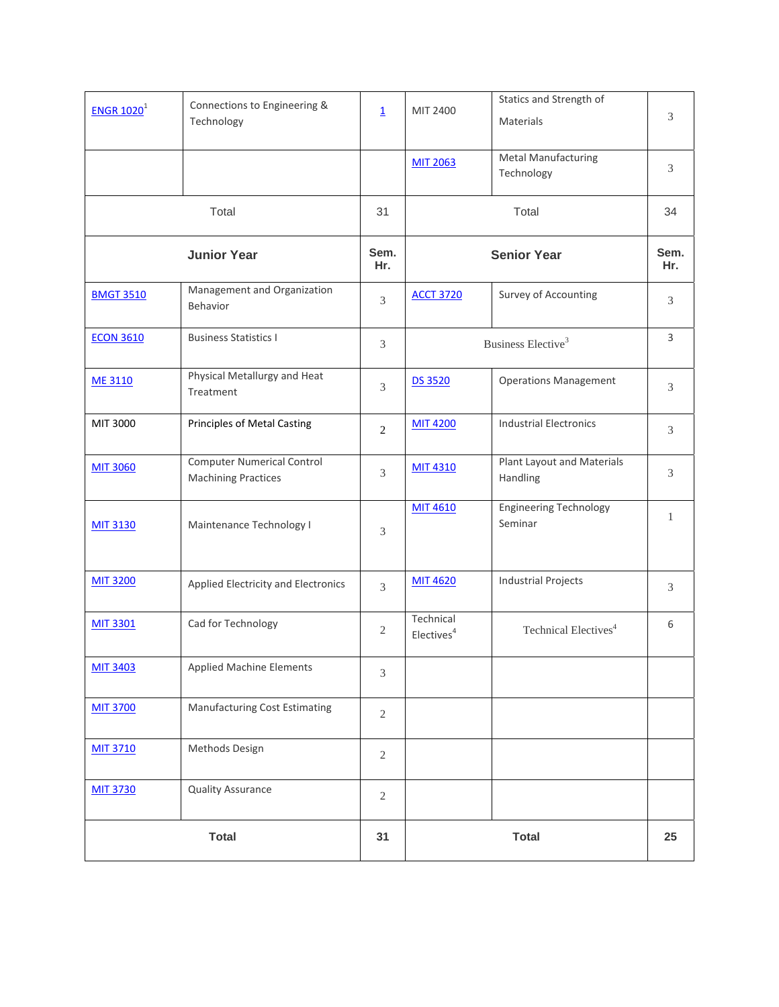| $ENGR$ 1020 <sup>1</sup> | Connections to Engineering &<br>Technology                      | $\overline{\mathbf{1}}$ | MIT 2400                            | Statics and Strength of<br>Materials     | 3            |
|--------------------------|-----------------------------------------------------------------|-------------------------|-------------------------------------|------------------------------------------|--------------|
|                          |                                                                 |                         | <b>MIT 2063</b>                     | <b>Metal Manufacturing</b><br>Technology | 3            |
|                          | Total                                                           | 31                      |                                     | Total                                    |              |
| <b>Junior Year</b>       |                                                                 | Sem.<br>Hr.             |                                     | <b>Senior Year</b>                       |              |
| <b>BMGT 3510</b>         | Management and Organization<br>Behavior                         | 3                       | <b>ACCT 3720</b>                    | Survey of Accounting                     | 3            |
| <b>ECON 3610</b>         | <b>Business Statistics I</b>                                    | 3                       |                                     | Business Elective <sup>3</sup>           | 3            |
| <b>ME 3110</b>           | Physical Metallurgy and Heat<br>Treatment                       | 3                       | <b>DS 3520</b>                      | <b>Operations Management</b>             | 3            |
| MIT 3000                 | Principles of Metal Casting                                     | 2                       | <b>MIT 4200</b>                     | <b>Industrial Electronics</b>            | 3            |
| <b>MIT 3060</b>          | <b>Computer Numerical Control</b><br><b>Machining Practices</b> | 3                       | <b>MIT 4310</b>                     | Plant Layout and Materials<br>Handling   | 3            |
| <b>MIT 3130</b>          | Maintenance Technology I                                        | 3                       | <b>MIT 4610</b>                     | <b>Engineering Technology</b><br>Seminar | $\mathbf{1}$ |
| <b>MIT 3200</b>          | Applied Electricity and Electronics                             | 3                       | <b>MIT 4620</b>                     | <b>Industrial Projects</b>               | 3            |
| <b>MIT 3301</b>          | Cad for Technology                                              | $\mathfrak{2}$          | Technical<br>Electives <sup>4</sup> | Technical Electives <sup>4</sup>         | 6            |
| <b>MIT 3403</b>          | Applied Machine Elements                                        | 3                       |                                     |                                          |              |
| <b>MIT 3700</b>          | Manufacturing Cost Estimating                                   | 2                       |                                     |                                          |              |
| <b>MIT 3710</b>          | Methods Design                                                  | $\overline{2}$          |                                     |                                          |              |
| <b>MIT 3730</b>          | <b>Quality Assurance</b>                                        | $\mathfrak{2}$          |                                     |                                          |              |
| <b>Total</b>             |                                                                 | 31                      |                                     | 25                                       |              |